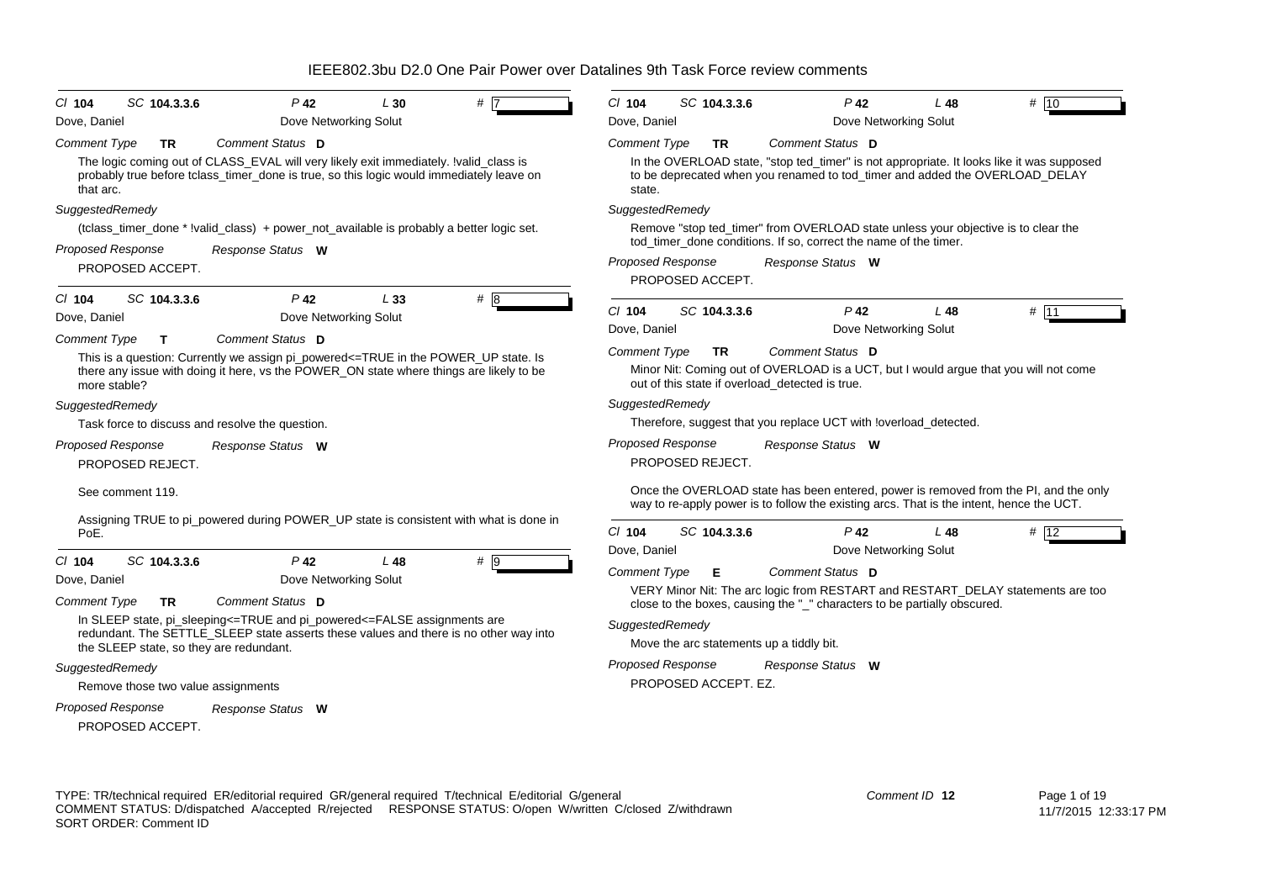| SC 104.3.3.6<br>$P$ 42<br># 17<br>$Cl$ 104<br>L30                                                                                                                                                                                                        | $P$ 42<br>$Cl$ 104<br>SC 104.3.3.6<br># 10<br>L48                                                                                                                                                                                          |
|----------------------------------------------------------------------------------------------------------------------------------------------------------------------------------------------------------------------------------------------------------|--------------------------------------------------------------------------------------------------------------------------------------------------------------------------------------------------------------------------------------------|
| Dove Networking Solut<br>Dove, Daniel                                                                                                                                                                                                                    | Dove Networking Solut<br>Dove, Daniel                                                                                                                                                                                                      |
| <b>Comment Type</b><br>Comment Status D<br><b>TR</b><br>The logic coming out of CLASS_EVAL will very likely exit immediately. !valid_class is<br>probably true before tclass_timer_done is true, so this logic would immediately leave on<br>that arc.   | <b>Comment Type</b><br>Comment Status D<br><b>TR</b><br>In the OVERLOAD state, "stop ted_timer" is not appropriate. It looks like it was supposed<br>to be deprecated when you renamed to tod_timer and added the OVERLOAD_DELAY<br>state. |
| SuggestedRemedy                                                                                                                                                                                                                                          | SuggestedRemedy                                                                                                                                                                                                                            |
| (tclass_timer_done * !valid_class) + power_not_available is probably a better logic set.                                                                                                                                                                 | Remove "stop ted_timer" from OVERLOAD state unless your objective is to clear the<br>tod_timer_done conditions. If so, correct the name of the timer.                                                                                      |
| Proposed Response<br>Response Status W<br>PROPOSED ACCEPT.                                                                                                                                                                                               | Proposed Response<br>Response Status W<br>PROPOSED ACCEPT.                                                                                                                                                                                 |
| $P$ 42<br>#8<br>SC 104.3.3.6<br>L33<br>$Cl$ 104<br>Dove Networking Solut<br>Dove, Daniel                                                                                                                                                                 | # 11<br>C/ 104<br>$P$ 42<br>SC 104.3.3.6<br>L48<br>Dove, Daniel<br>Dove Networking Solut                                                                                                                                                   |
| Comment Status D<br><b>Comment Type</b><br>$\mathbf{T}$<br>This is a question: Currently we assign pi_powered<=TRUE in the POWER_UP state. Is<br>there any issue with doing it here, vs the POWER ON state where things are likely to be<br>more stable? | <b>Comment Type</b><br>Comment Status D<br><b>TR</b><br>Minor Nit: Coming out of OVERLOAD is a UCT, but I would argue that you will not come<br>out of this state if overload detected is true.                                            |
| SuggestedRemedy                                                                                                                                                                                                                                          | SuggestedRemedy                                                                                                                                                                                                                            |
| Task force to discuss and resolve the question.                                                                                                                                                                                                          | Therefore, suggest that you replace UCT with loverload_detected.                                                                                                                                                                           |
| Proposed Response<br>Response Status W<br>PROPOSED REJECT.                                                                                                                                                                                               | <b>Proposed Response</b><br>Response Status W<br>PROPOSED REJECT.                                                                                                                                                                          |
| See comment 119.                                                                                                                                                                                                                                         | Once the OVERLOAD state has been entered, power is removed from the PI, and the only<br>way to re-apply power is to follow the existing arcs. That is the intent, hence the UCT.                                                           |
| Assigning TRUE to pi_powered during POWER_UP state is consistent with what is done in<br>PoE.                                                                                                                                                            | $Cl$ 104<br>SC 104.3.3.6<br>$P$ 42<br>L 48<br># 12                                                                                                                                                                                         |
| SC 104.3.3.6<br>$P$ 42<br>$#$ 9<br>$Cl$ 104<br>L 48                                                                                                                                                                                                      | Dove, Daniel<br>Dove Networking Solut                                                                                                                                                                                                      |
| Dove Networking Solut<br>Dove, Daniel                                                                                                                                                                                                                    | <b>Comment Type</b><br>Comment Status D<br>Е                                                                                                                                                                                               |
| Comment Status D<br><b>Comment Type</b><br><b>TR</b>                                                                                                                                                                                                     | VERY Minor Nit: The arc logic from RESTART and RESTART_DELAY statements are too<br>close to the boxes, causing the "_" characters to be partially obscured.                                                                                |
| In SLEEP state, pi_sleeping<=TRUE and pi_powered<=FALSE assignments are<br>redundant. The SETTLE_SLEEP state asserts these values and there is no other way into<br>the SLEEP state, so they are redundant.                                              | SuggestedRemedy<br>Move the arc statements up a tiddly bit.                                                                                                                                                                                |
| SuggestedRemedy                                                                                                                                                                                                                                          | <b>Proposed Response</b><br>Response Status W                                                                                                                                                                                              |
| Remove those two value assignments                                                                                                                                                                                                                       | PROPOSED ACCEPT. EZ.                                                                                                                                                                                                                       |
| <b>Proposed Response</b><br>Response Status W<br>PROPOSED ACCEPT.                                                                                                                                                                                        |                                                                                                                                                                                                                                            |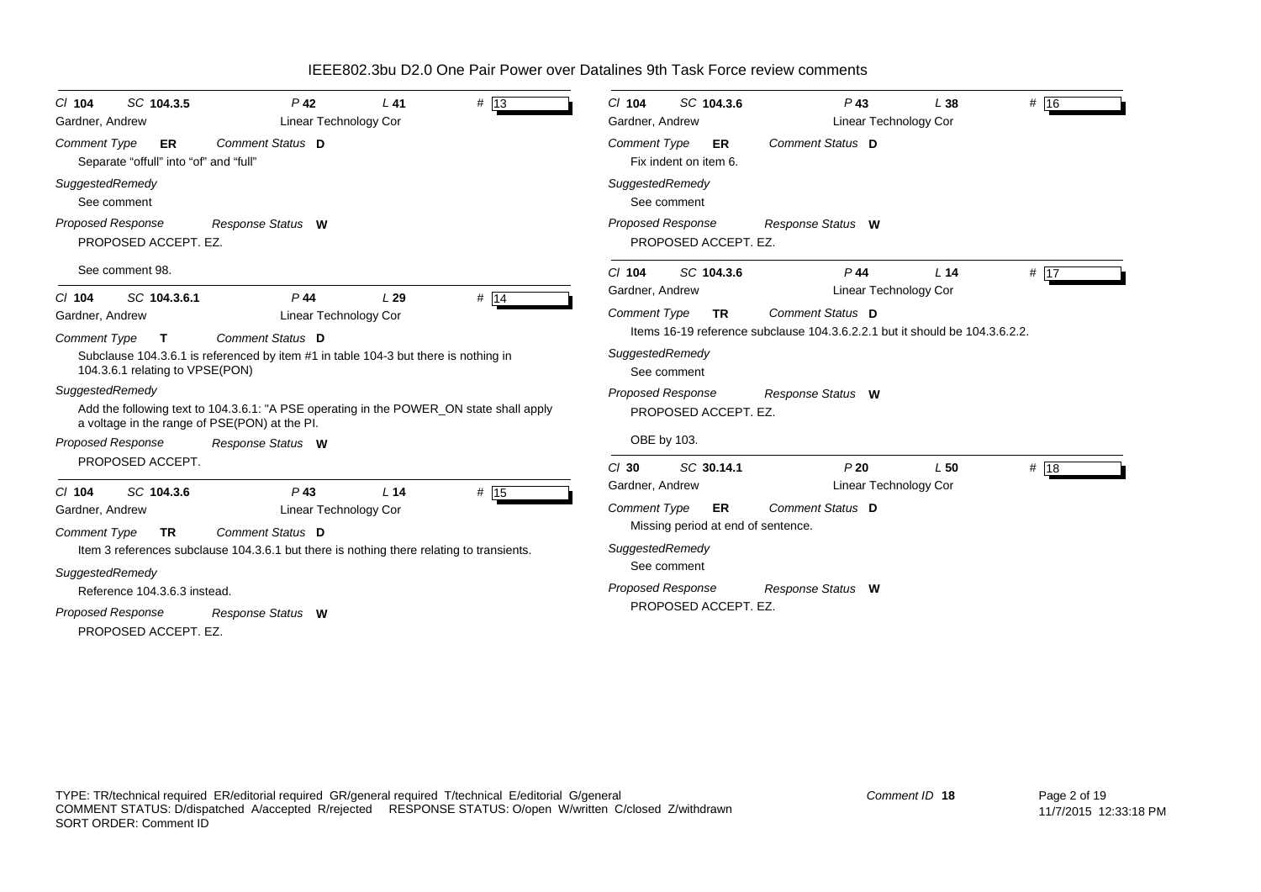| SC 104.3.5<br>$Cl$ 104<br>Gardner, Andrew                                 | $P$ 42<br><b>Linear Technology Cor</b>                                                                                                   | $L$ 41          | # 13 | SC 104.3.6<br>$CI$ 104<br>Gardner, Andrew                                                                | $P$ 43<br>Linear Technology Cor                                                                 | L38             | # 16 |  |
|---------------------------------------------------------------------------|------------------------------------------------------------------------------------------------------------------------------------------|-----------------|------|----------------------------------------------------------------------------------------------------------|-------------------------------------------------------------------------------------------------|-----------------|------|--|
| <b>Comment Type</b><br>ER<br>Separate "offull" into "of" and "full"       | Comment Status D                                                                                                                         |                 |      | <b>Comment Type</b><br>ER<br>Fix indent on item 6.                                                       | Comment Status D                                                                                |                 |      |  |
| SuggestedRemedy<br>See comment                                            |                                                                                                                                          |                 |      | SuggestedRemedy<br>See comment                                                                           |                                                                                                 |                 |      |  |
| Proposed Response<br>PROPOSED ACCEPT. EZ.                                 | Response Status W                                                                                                                        |                 |      | Proposed Response<br>PROPOSED ACCEPT. EZ.                                                                | Response Status W                                                                               |                 |      |  |
| See comment 98.                                                           |                                                                                                                                          |                 |      | $Cl$ 104<br>SC 104.3.6<br>Gardner, Andrew                                                                | $P$ 44<br>Linear Technology Cor                                                                 | L <sub>14</sub> | # 17 |  |
| SC 104.3.6.1<br>$CI$ 104<br>Gardner, Andrew<br><b>Comment Type</b><br>T.  | $P$ 44<br>Linear Technology Cor<br>Comment Status D                                                                                      | L29             | # 14 | <b>Comment Type</b><br><b>TR</b>                                                                         | Comment Status D<br>Items 16-19 reference subclause 104.3.6.2.2.1 but it should be 104.3.6.2.2. |                 |      |  |
| 104.3.6.1 relating to VPSE(PON)                                           | Subclause 104.3.6.1 is referenced by item #1 in table 104-3 but there is nothing in                                                      |                 |      | SuggestedRemedy<br>See comment                                                                           |                                                                                                 |                 |      |  |
| SuggestedRemedy                                                           | Add the following text to 104.3.6.1: "A PSE operating in the POWER_ON state shall apply<br>a voltage in the range of PSE(PON) at the PI. |                 |      | Proposed Response<br>PROPOSED ACCEPT. EZ.                                                                | Response Status W                                                                               |                 |      |  |
| <b>Proposed Response</b>                                                  | Response Status W                                                                                                                        |                 |      | OBE by 103.                                                                                              |                                                                                                 |                 |      |  |
| PROPOSED ACCEPT.<br>SC 104.3.6<br>$CI$ 104                                | $P$ 43                                                                                                                                   | L <sub>14</sub> | # 15 | SC 30.14.1<br>$Cl$ 30<br>Gardner, Andrew                                                                 | P20<br>Linear Technology Cor                                                                    | L <sub>50</sub> | # 18 |  |
| Gardner, Andrew<br><b>Comment Type</b><br><b>TR</b><br>SuggestedRemedy    | Linear Technology Cor<br>Comment Status D<br>Item 3 references subclause 104.3.6.1 but there is nothing there relating to transients.    |                 |      | <b>Comment Type</b><br><b>ER</b><br>Missing period at end of sentence.<br>SuggestedRemedy<br>See comment | Comment Status D                                                                                |                 |      |  |
| Reference 104.3.6.3 instead.<br>Proposed Response<br>PROPOSED ACCEPT. EZ. | Response Status W                                                                                                                        |                 |      | <b>Proposed Response</b><br>PROPOSED ACCEPT. EZ.                                                         | Response Status W                                                                               |                 |      |  |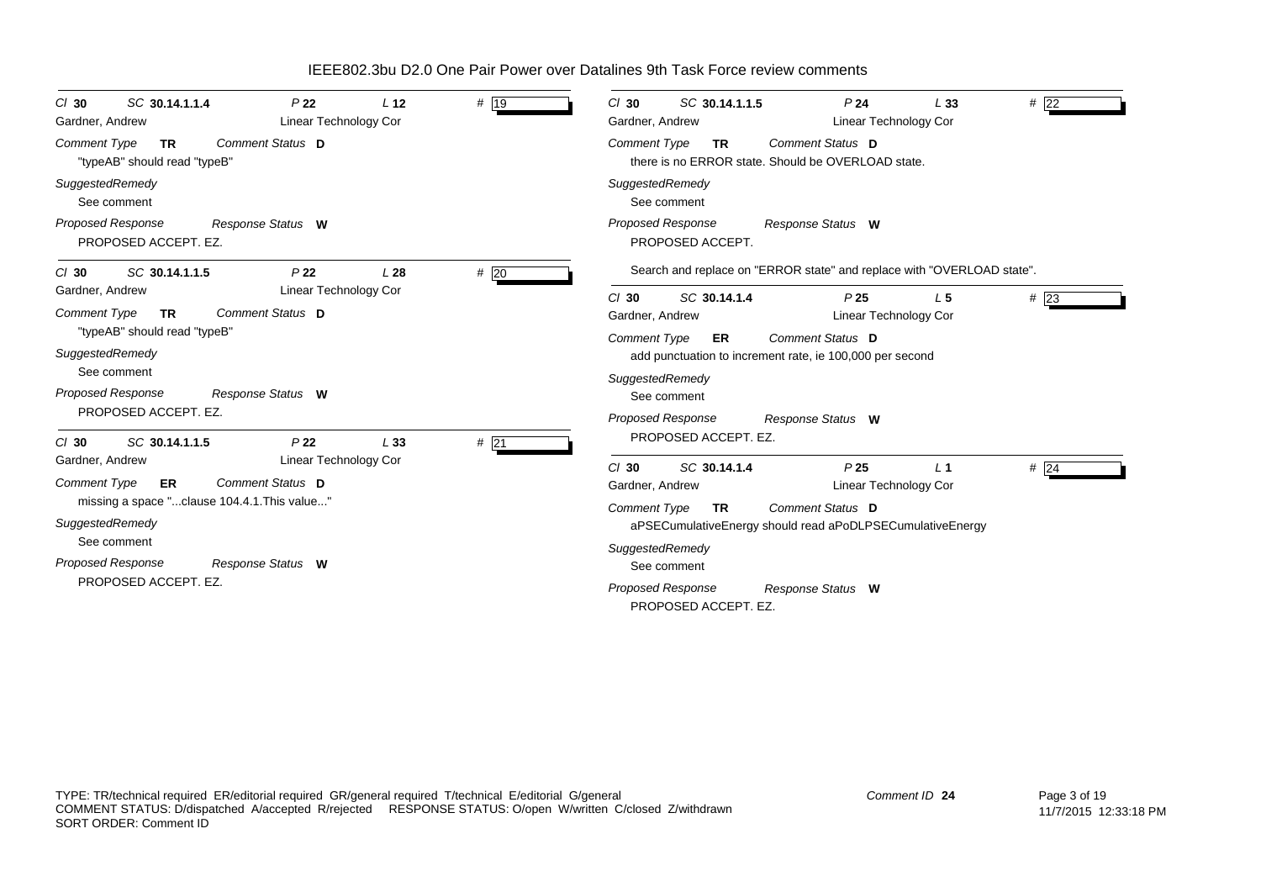| SC 30.14.1.1.4<br>P <sub>22</sub><br>L <sub>12</sub><br>$Cl$ 30<br><b>Linear Technology Cor</b><br>Gardner, Andrew | # 19   | SC 30.14.1.1.5<br>P <sub>24</sub><br>#22<br>$Cl$ 30<br>L33<br>Gardner, Andrew<br><b>Linear Technology Cor</b> |
|--------------------------------------------------------------------------------------------------------------------|--------|---------------------------------------------------------------------------------------------------------------|
| Comment Status D<br><b>Comment Type</b><br><b>TR</b><br>"typeAB" should read "typeB"                               |        | Comment Status D<br><b>Comment Type</b><br><b>TR</b><br>there is no ERROR state. Should be OVERLOAD state.    |
| SuggestedRemedy<br>See comment                                                                                     |        | SuggestedRemedy<br>See comment                                                                                |
| Proposed Response<br>Response Status W<br>PROPOSED ACCEPT. EZ.                                                     |        | <b>Proposed Response</b><br>Response Status W<br>PROPOSED ACCEPT.                                             |
| SC 30.14.1.1.5<br>P <sub>22</sub><br>L28<br>$CI$ 30                                                                | #20    | Search and replace on "ERROR state" and replace with "OVERLOAD state".                                        |
| <b>Linear Technology Cor</b><br>Gardner, Andrew                                                                    |        | SC 30.14.1.4<br>P <sub>25</sub><br>#23<br>$Cl$ 30<br>L <sub>5</sub>                                           |
| Comment Status D<br><b>Comment Type</b><br><b>TR</b>                                                               |        | Linear Technology Cor<br>Gardner, Andrew                                                                      |
| "typeAB" should read "typeB"                                                                                       |        | Comment Status D<br><b>Comment Type</b><br>ER                                                                 |
| SuggestedRemedy                                                                                                    |        | add punctuation to increment rate, ie 100,000 per second                                                      |
| See comment                                                                                                        |        | SuggestedRemedy                                                                                               |
| <b>Proposed Response</b><br>Response Status W<br>PROPOSED ACCEPT. EZ.                                              |        | See comment                                                                                                   |
|                                                                                                                    |        | <b>Proposed Response</b><br>Response Status W                                                                 |
| SC 30.14.1.1.5<br>P <sub>22</sub><br>L33<br>$CI$ 30                                                                | $#$ 21 | PROPOSED ACCEPT. EZ.                                                                                          |
| <b>Linear Technology Cor</b><br>Gardner, Andrew                                                                    |        | SC 30.14.1.4<br>P <sub>25</sub><br>$#$ 24<br>$Cl$ 30<br>L <sub>1</sub>                                        |
| Comment Status D<br><b>Comment Type</b><br>ER                                                                      |        | Linear Technology Cor<br>Gardner, Andrew                                                                      |
| missing a space "clause 104.4.1. This value"                                                                       |        | Comment Status D<br><b>Comment Type</b><br><b>TR</b>                                                          |
| SuggestedRemedy                                                                                                    |        | aPSECumulativeEnergy should read aPoDLPSECumulativeEnergy                                                     |
| See comment                                                                                                        |        | SuggestedRemedy                                                                                               |
| <b>Proposed Response</b><br>Response Status W<br>PROPOSED ACCEPT. EZ.                                              |        | See comment                                                                                                   |
|                                                                                                                    |        | <b>Proposed Response</b><br>Response Status W<br>PROPOSED ACCEPT. EZ.                                         |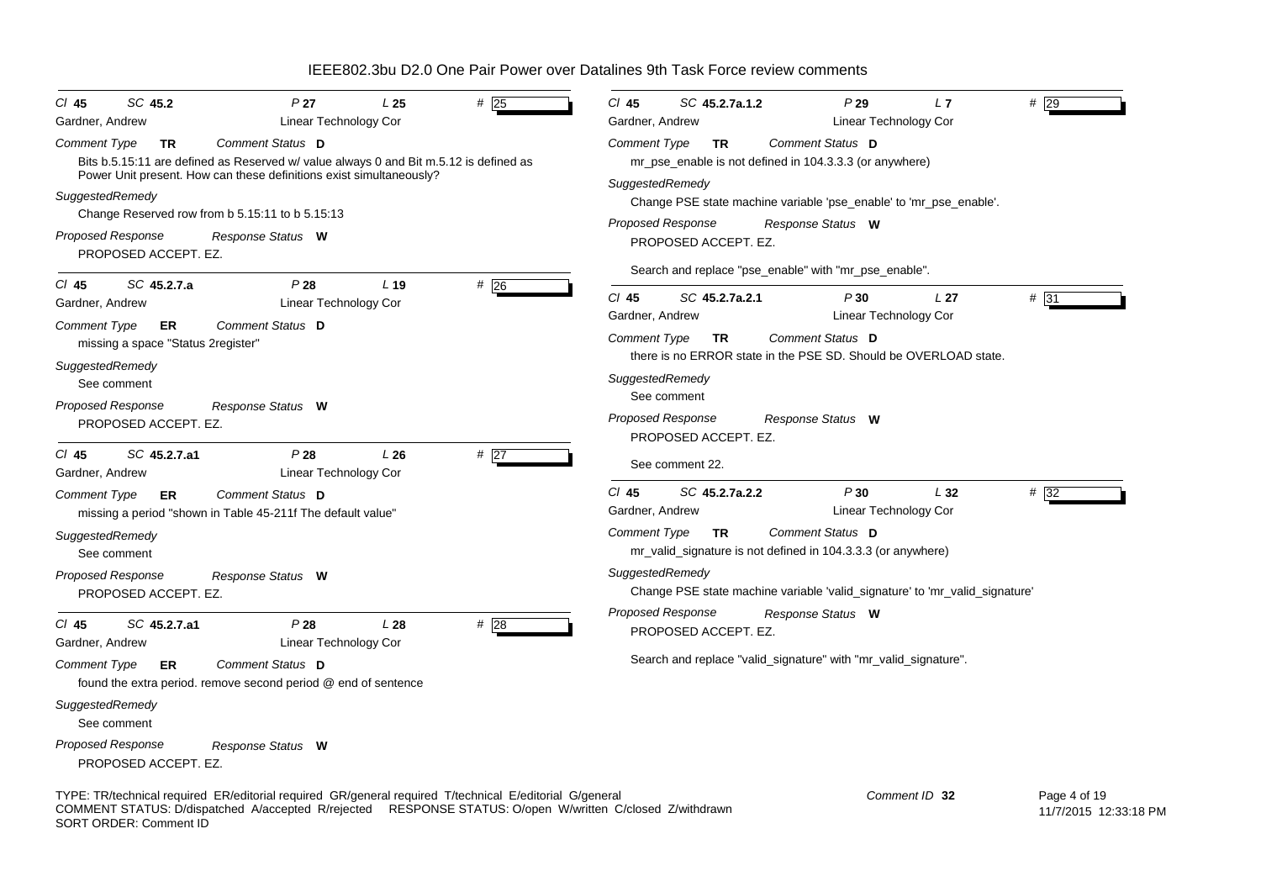| SC 45.2<br>CI 45<br>Gardner, Andrew                                                                                                                                                                                                            | P27<br>Linear Technology Cor                                                                                                                                                     | L25             | #25  | #29<br>CI 45<br>SC 45.2.7a.1.2<br>P29<br>L7<br>Linear Technology Cor<br>Gardner, Andrew                                                                              |
|------------------------------------------------------------------------------------------------------------------------------------------------------------------------------------------------------------------------------------------------|----------------------------------------------------------------------------------------------------------------------------------------------------------------------------------|-----------------|------|----------------------------------------------------------------------------------------------------------------------------------------------------------------------|
| <b>Comment Type</b><br><b>TR</b>                                                                                                                                                                                                               | Comment Status D<br>Bits b.5.15:11 are defined as Reserved w/ value always 0 and Bit m.5.12 is defined as<br>Power Unit present. How can these definitions exist simultaneously? |                 |      | Comment Status D<br><b>Comment Type</b><br><b>TR</b><br>mr_pse_enable is not defined in 104.3.3.3 (or anywhere)                                                      |
| SuggestedRemedy<br>Change Reserved row from b 5.15:11 to b 5.15:13                                                                                                                                                                             |                                                                                                                                                                                  |                 |      | SuggestedRemedy<br>Change PSE state machine variable 'pse_enable' to 'mr_pse_enable'.<br>Proposed Response                                                           |
| Proposed Response<br>PROPOSED ACCEPT. EZ.                                                                                                                                                                                                      | Response Status W                                                                                                                                                                |                 |      | Response Status W<br>PROPOSED ACCEPT. EZ.                                                                                                                            |
| SC 45.2.7.a<br>$CI$ 45<br>Gardner, Andrew                                                                                                                                                                                                      | P28<br>Linear Technology Cor                                                                                                                                                     | L <sub>19</sub> | #26  | Search and replace "pse_enable" with "mr_pse_enable".<br>CI 45<br>SC 45.2.7a.2.1<br># 31<br>P30<br>L <sub>27</sub>                                                   |
| <b>Comment Type</b><br>ER<br>missing a space "Status 2 register"                                                                                                                                                                               | Comment Status D                                                                                                                                                                 |                 |      | Gardner, Andrew<br>Linear Technology Cor<br>Comment Status D<br><b>Comment Type</b><br><b>TR</b><br>there is no ERROR state in the PSE SD. Should be OVERLOAD state. |
| SuggestedRemedy<br>See comment                                                                                                                                                                                                                 |                                                                                                                                                                                  |                 |      | SuggestedRemedy<br>See comment                                                                                                                                       |
| <b>Proposed Response</b><br>PROPOSED ACCEPT. EZ.                                                                                                                                                                                               | Response Status W                                                                                                                                                                |                 |      | Proposed Response<br>Response Status W<br>PROPOSED ACCEPT. EZ.                                                                                                       |
| $CI$ 45<br>SC 45.2.7.a1<br>Gardner, Andrew                                                                                                                                                                                                     | P28<br>Linear Technology Cor                                                                                                                                                     | L26             | #27  | See comment 22.                                                                                                                                                      |
| <b>Comment Type</b><br>ER.                                                                                                                                                                                                                     | Comment Status D<br>missing a period "shown in Table 45-211f The default value"                                                                                                  |                 |      | $CI$ 45<br>SC 45.2.7a.2.2<br>P30<br>L32<br># 32<br>Linear Technology Cor<br>Gardner, Andrew                                                                          |
| SuggestedRemedy<br>See comment                                                                                                                                                                                                                 |                                                                                                                                                                                  |                 |      | Comment Status D<br><b>Comment Type</b><br><b>TR</b><br>mr_valid_signature is not defined in 104.3.3.3 (or anywhere)                                                 |
| Proposed Response<br>PROPOSED ACCEPT. EZ.                                                                                                                                                                                                      | Response Status W                                                                                                                                                                |                 |      | SuggestedRemedy<br>Change PSE state machine variable 'valid_signature' to 'mr_valid_signature'                                                                       |
| SC 45.2.7.a1<br>$CI$ 45<br>Gardner, Andrew                                                                                                                                                                                                     | P28<br>Linear Technology Cor                                                                                                                                                     | L28             | # 28 | <b>Proposed Response</b><br>Response Status W<br>PROPOSED ACCEPT. EZ.                                                                                                |
| Comment Type<br>ER                                                                                                                                                                                                                             | Comment Status D<br>found the extra period. remove second period @ end of sentence                                                                                               |                 |      | Search and replace "valid_signature" with "mr_valid_signature".                                                                                                      |
| SuggestedRemedy<br>See comment                                                                                                                                                                                                                 |                                                                                                                                                                                  |                 |      |                                                                                                                                                                      |
| <b>Proposed Response</b><br>PROPOSED ACCEPT. EZ.                                                                                                                                                                                               | Response Status W                                                                                                                                                                |                 |      |                                                                                                                                                                      |
| TYPE: TR/technical required ER/editorial required GR/general required T/technical E/editorial G/general<br>COMMENT STATUS: D/dispatched A/accepted R/rejected RESPONSE STATUS: O/open W/written C/closed Z/withdrawn<br>SORT ORDER: Comment ID |                                                                                                                                                                                  |                 |      | Comment ID 32<br>Page 4 of 19<br>11/7/2015 12:33:18 PM                                                                                                               |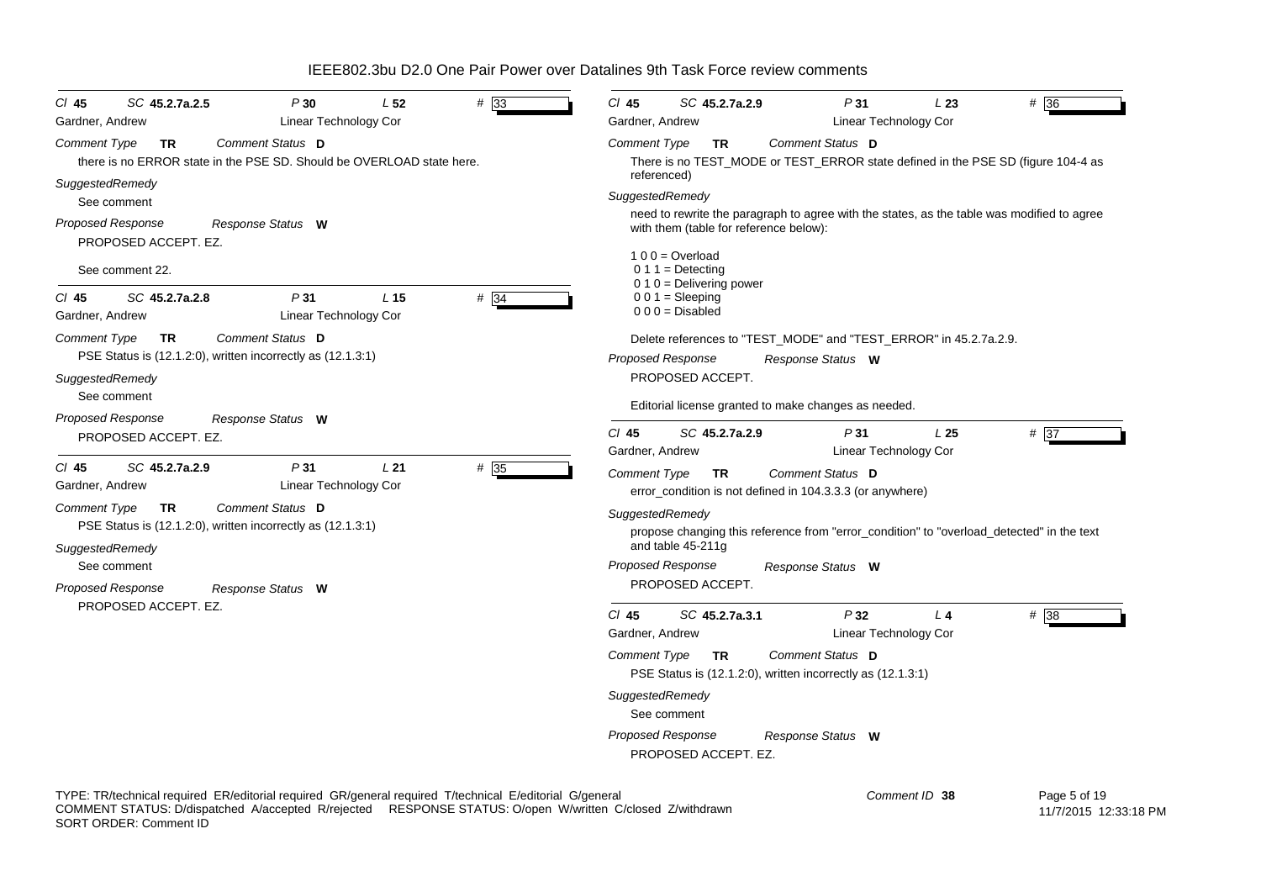| #33<br>$CI$ 45<br>SC 45.2.7a.2.5<br>P30<br>L 52<br>Linear Technology Cor<br>Gardner, Andrew                                                         | $CI$ 45<br>P31<br>$# \overline{36}$<br>SC 45.2.7a.2.9<br>L23<br>Linear Technology Cor<br>Gardner, Andrew                             |
|-----------------------------------------------------------------------------------------------------------------------------------------------------|--------------------------------------------------------------------------------------------------------------------------------------|
| Comment Status D<br><b>Comment Type</b><br><b>TR</b><br>there is no ERROR state in the PSE SD. Should be OVERLOAD state here.                       | Comment Status D<br><b>Comment Type</b><br>TR.<br>There is no TEST_MODE or TEST_ERROR state defined in the PSE SD (figure 104-4 as   |
| SuggestedRemedy<br>See comment                                                                                                                      | referenced)<br>SuggestedRemedy                                                                                                       |
| Proposed Response<br>Response Status W<br>PROPOSED ACCEPT. EZ.                                                                                      | need to rewrite the paragraph to agree with the states, as the table was modified to agree<br>with them (table for reference below): |
| See comment 22.                                                                                                                                     | $100 =$ Overload<br>$0 1 1 =$ Detecting<br>$0.10$ = Delivering power                                                                 |
| $#$ 34<br>SC 45.2.7a.2.8<br>P31<br>L <sub>15</sub><br>$CI$ 45<br><b>Linear Technology Cor</b><br>Gardner, Andrew                                    | $001 = Sleeping$<br>$000 = Disabled$                                                                                                 |
| <b>Comment Type</b><br>Comment Status D<br><b>TR</b>                                                                                                | Delete references to "TEST_MODE" and "TEST_ERROR" in 45.2.7a.2.9.                                                                    |
| PSE Status is (12.1.2:0), written incorrectly as (12.1.3:1)                                                                                         | <b>Proposed Response</b><br>Response Status W                                                                                        |
| SuggestedRemedy<br>See comment                                                                                                                      | PROPOSED ACCEPT.<br>Editorial license granted to make changes as needed.                                                             |
| <b>Proposed Response</b><br>Response Status W                                                                                                       |                                                                                                                                      |
| PROPOSED ACCEPT. EZ.                                                                                                                                | $CI$ 45<br>SC 45.2.7a.2.9<br>P31<br># 37<br>L <sub>25</sub><br>Gardner, Andrew<br><b>Linear Technology Cor</b>                       |
| # 35<br>$CI$ 45<br>SC 45.2.7a.2.9<br>P31<br>L21<br><b>Linear Technology Cor</b><br>Gardner, Andrew<br>Comment Status D<br>Comment Type<br><b>TR</b> | <b>Comment Type</b><br>Comment Status D<br><b>TR</b><br>error_condition is not defined in 104.3.3.3 (or anywhere)                    |
| PSE Status is (12.1.2:0), written incorrectly as (12.1.3:1)                                                                                         | SuggestedRemedy<br>propose changing this reference from "error_condition" to "overload_detected" in the text<br>and table 45-211g    |
| SuggestedRemedy<br>See comment                                                                                                                      | Proposed Response<br>Response Status W                                                                                               |
| <b>Proposed Response</b><br>Response Status W                                                                                                       | PROPOSED ACCEPT.                                                                                                                     |
| PROPOSED ACCEPT. EZ.                                                                                                                                | P32<br>#38<br>$CI$ 45<br>SC 45.2.7a.3.1<br>$L$ 4                                                                                     |
|                                                                                                                                                     | Linear Technology Cor<br>Gardner, Andrew                                                                                             |
|                                                                                                                                                     | <b>Comment Type</b><br>Comment Status D<br>TR.<br>PSE Status is (12.1.2.0), written incorrectly as (12.1.3.1)                        |
|                                                                                                                                                     | SuggestedRemedy<br>See comment                                                                                                       |
|                                                                                                                                                     | <b>Proposed Response</b><br>Response Status W<br>PROPOSED ACCEPT. EZ.                                                                |

TYPE: TR/technical required ER/editorial required GR/general required T/technical E/editorial G/general COMMENT STATUS: D/dispatched A/accepted R/rejected RESPONSE STATUS: O/open W/written C/closed Z/withdrawn SORT ORDER: Comment ID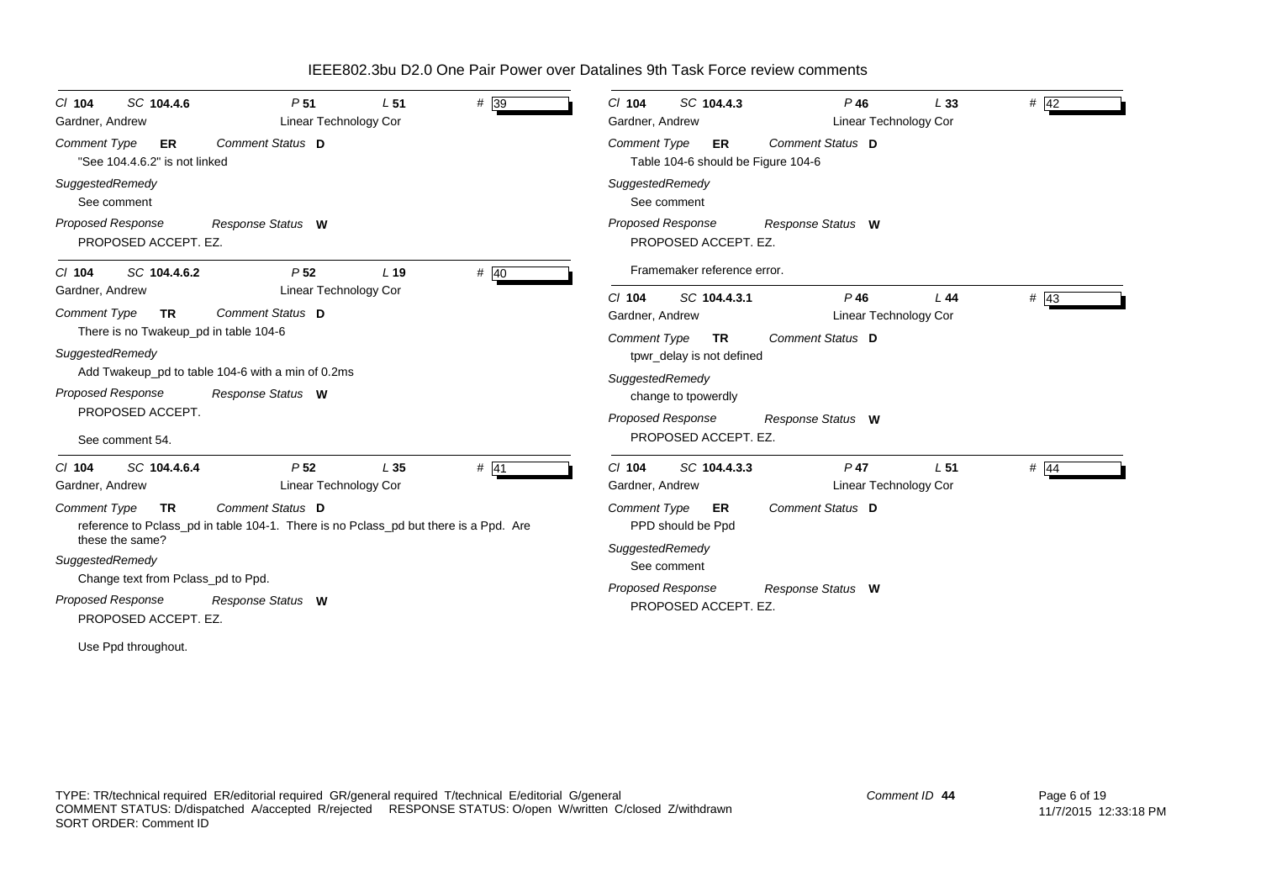| # 39<br>SC 104.4.6<br>P <sub>51</sub><br>L <sub>51</sub><br>$CI$ 104<br><b>Linear Technology Cor</b><br>Gardner, Andrew<br>Comment Status D<br><b>Comment Type</b><br>ER<br>"See 104.4.6.2" is not linked<br>SuggestedRemedy<br>See comment                                                                                                                                                                               | $\frac{4}{42}$<br>SC 104.4.3<br>$P$ 46<br>L33<br>$CI$ 104<br><b>Linear Technology Cor</b><br>Gardner, Andrew<br>Comment Status D<br>Comment Type<br>ER<br>Table 104-6 should be Figure 104-6<br>SuggestedRemedy<br>See comment                                                                   |
|---------------------------------------------------------------------------------------------------------------------------------------------------------------------------------------------------------------------------------------------------------------------------------------------------------------------------------------------------------------------------------------------------------------------------|--------------------------------------------------------------------------------------------------------------------------------------------------------------------------------------------------------------------------------------------------------------------------------------------------|
| <b>Proposed Response</b><br>Response Status W<br>PROPOSED ACCEPT. EZ.<br># $40$<br>P <sub>52</sub><br>L <sub>19</sub><br>SC 104.4.6.2<br>$CI$ 104                                                                                                                                                                                                                                                                         | <b>Proposed Response</b><br>Response Status W<br>PROPOSED ACCEPT. EZ.<br>Framemaker reference error.                                                                                                                                                                                             |
| Linear Technology Cor<br>Gardner, Andrew<br>Comment Type<br>Comment Status D<br><b>TR</b><br>There is no Twakeup_pd in table 104-6<br>SuggestedRemedy<br>Add Twakeup_pd to table 104-6 with a min of 0.2ms<br>Proposed Response<br>Response Status W<br>PROPOSED ACCEPT.<br>See comment 54.                                                                                                                               | $#$ 43<br>$Cl$ 104<br>SC 104.4.3.1<br>$P$ 46<br>L44<br>Linear Technology Cor<br>Gardner, Andrew<br>Comment Status D<br>Comment Type<br><b>TR</b><br>tpwr_delay is not defined<br>SuggestedRemedy<br>change to tpowerdly<br><b>Proposed Response</b><br>Response Status W<br>PROPOSED ACCEPT. EZ. |
| P <sub>52</sub><br>$#$ 41<br>SC 104.4.6.4<br>L <sub>35</sub><br>$CI$ 104<br>Linear Technology Cor<br>Gardner, Andrew<br>Comment Status D<br><b>Comment Type</b><br><b>TR</b><br>reference to Pclass_pd in table 104-1. There is no Pclass_pd but there is a Ppd. Are<br>these the same?<br>SuggestedRemedy<br>Change text from Pclass_pd to Ppd.<br><b>Proposed Response</b><br>Response Status W<br>PROPOSED ACCEPT. EZ. | $P$ 47<br>$\#$ 44<br>$Cl$ 104<br>SC 104.4.3.3<br>L <sub>51</sub><br>Gardner, Andrew<br>Linear Technology Cor<br>Comment Status D<br><b>Comment Type</b><br>ER<br>PPD should be Ppd<br>SuggestedRemedy<br>See comment<br>Proposed Response<br>Response Status W<br>PROPOSED ACCEPT. EZ.           |

Use Ppd throughout.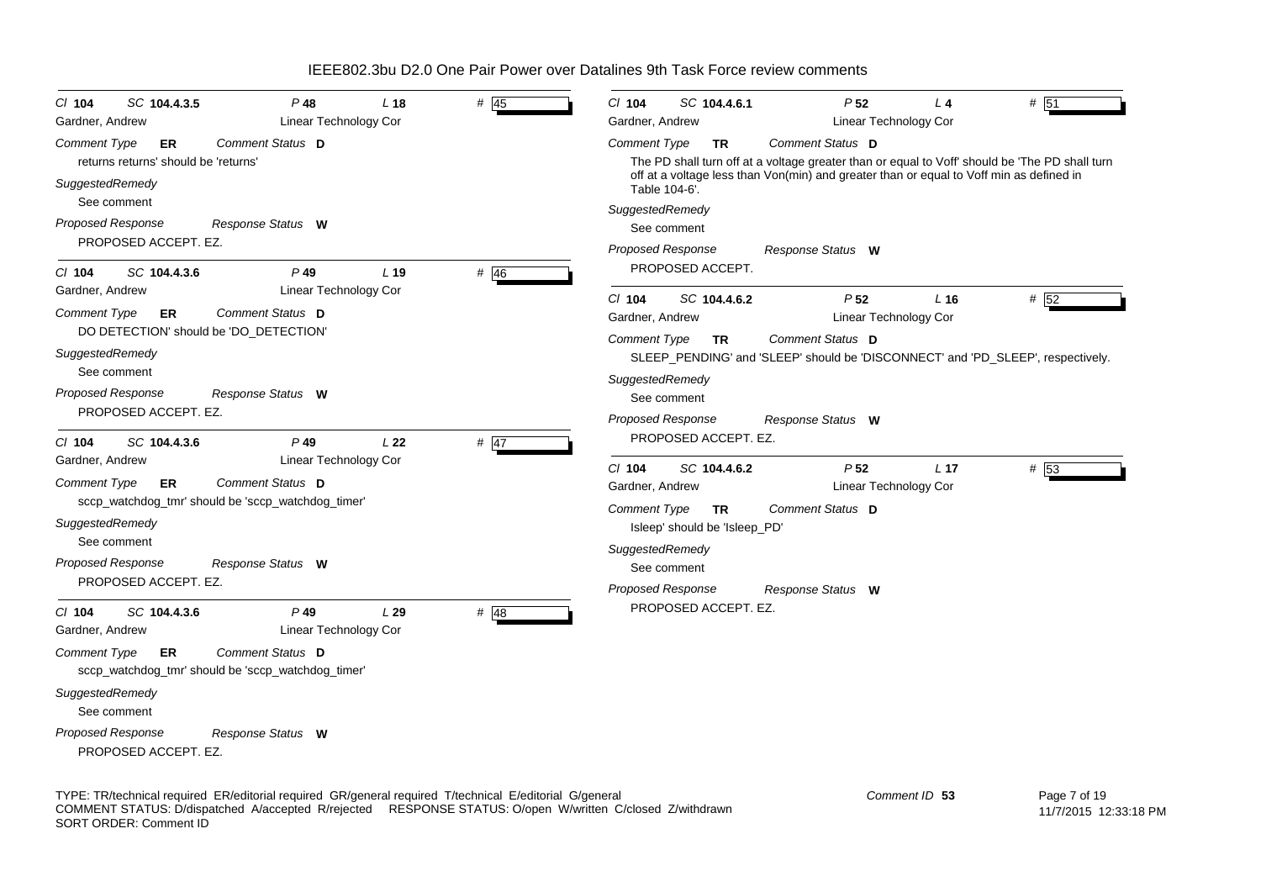| $CI$ 104<br>SC 104.4.3.5<br>Gardner, Andrew                                                                                                             | P 48<br>Linear Technology Cor                                                                                                  | L <sub>18</sub> | # $45$ | $Cl$ 104<br>SC 104.4.6.1<br>Gardner, Andrew                                                                                                                             | P <sub>52</sub><br>Linear Technology Cor                                                                                                                                                                      | $L_4$           | # 51 |
|---------------------------------------------------------------------------------------------------------------------------------------------------------|--------------------------------------------------------------------------------------------------------------------------------|-----------------|--------|-------------------------------------------------------------------------------------------------------------------------------------------------------------------------|---------------------------------------------------------------------------------------------------------------------------------------------------------------------------------------------------------------|-----------------|------|
| Comment Type<br>ER<br>returns returns' should be 'returns'<br>SuggestedRemedy                                                                           | Comment Status D                                                                                                               |                 |        | <b>Comment Type</b><br><b>TR</b><br>Table 104-6'.                                                                                                                       | Comment Status D<br>The PD shall turn off at a voltage greater than or equal to Voff' should be 'The PD shall turn<br>off at a voltage less than Von(min) and greater than or equal to Voff min as defined in |                 |      |
| See comment<br><b>Proposed Response</b><br>PROPOSED ACCEPT. EZ.                                                                                         | Response Status W                                                                                                              |                 |        | SuggestedRemedy<br>See comment<br>Proposed Response                                                                                                                     | Response Status W                                                                                                                                                                                             |                 |      |
| SC 104.4.3.6<br>$CI$ 104<br>Gardner, Andrew<br>Comment Type<br>ER<br>DO DETECTION' should be 'DO_DETECTION'<br>SuggestedRemedy                          | $P$ 49<br>Linear Technology Cor<br>Comment Status D                                                                            | L <sub>19</sub> | $#$ 46 | PROPOSED ACCEPT.<br>$CI$ 104<br>SC 104.4.6.2<br>Gardner, Andrew<br><b>Comment Type</b><br><b>TR</b>                                                                     | P <sub>52</sub><br>Linear Technology Cor<br>Comment Status D<br>SLEEP_PENDING' and 'SLEEP' should be 'DISCONNECT' and 'PD_SLEEP', respectively.                                                               | L <sub>16</sub> | # 52 |
| See comment<br>Proposed Response<br>PROPOSED ACCEPT. EZ.<br>$CI$ 104<br>SC 104.4.3.6                                                                    | Response Status W<br>$P$ 49                                                                                                    | L22             | $#$ 47 | SuggestedRemedy<br>See comment<br><b>Proposed Response</b><br>PROPOSED ACCEPT. EZ.                                                                                      | Response Status W                                                                                                                                                                                             |                 |      |
| Gardner, Andrew<br>Comment Type<br>ER<br>SuggestedRemedy<br>See comment<br>Proposed Response<br>PROPOSED ACCEPT. EZ.                                    | <b>Linear Technology Cor</b><br>Comment Status D<br>sccp_watchdog_tmr' should be 'sccp_watchdog_timer'<br>Response Status W    |                 |        | $Cl$ 104<br>SC 104.4.6.2<br>Gardner, Andrew<br>Comment Type<br><b>TR</b><br>Isleep' should be 'Isleep_PD'<br>SuggestedRemedy<br>See comment<br><b>Proposed Response</b> | P <sub>52</sub><br>Linear Technology Cor<br>Comment Status D<br>Response Status W                                                                                                                             | L <sub>17</sub> | # 53 |
| SC 104.4.3.6<br>$CI$ 104<br>Gardner, Andrew<br><b>Comment Type</b><br>ER<br>SuggestedRemedy<br>See comment<br>Proposed Response<br>PROPOSED ACCEPT. EZ. | $P$ 49<br>Linear Technology Cor<br>Comment Status D<br>sccp_watchdog_tmr' should be 'sccp_watchdog_timer'<br>Response Status W | L29             | $#$ 48 | PROPOSED ACCEPT. EZ.                                                                                                                                                    |                                                                                                                                                                                                               |                 |      |

TYPE: TR/technical required ER/editorial required GR/general required T/technical E/editorial G/general COMMENT STATUS: D/dispatched A/accepted R/rejected RESPONSE STATUS: O/open W/written C/closed Z/withdrawn SORT ORDER: Comment ID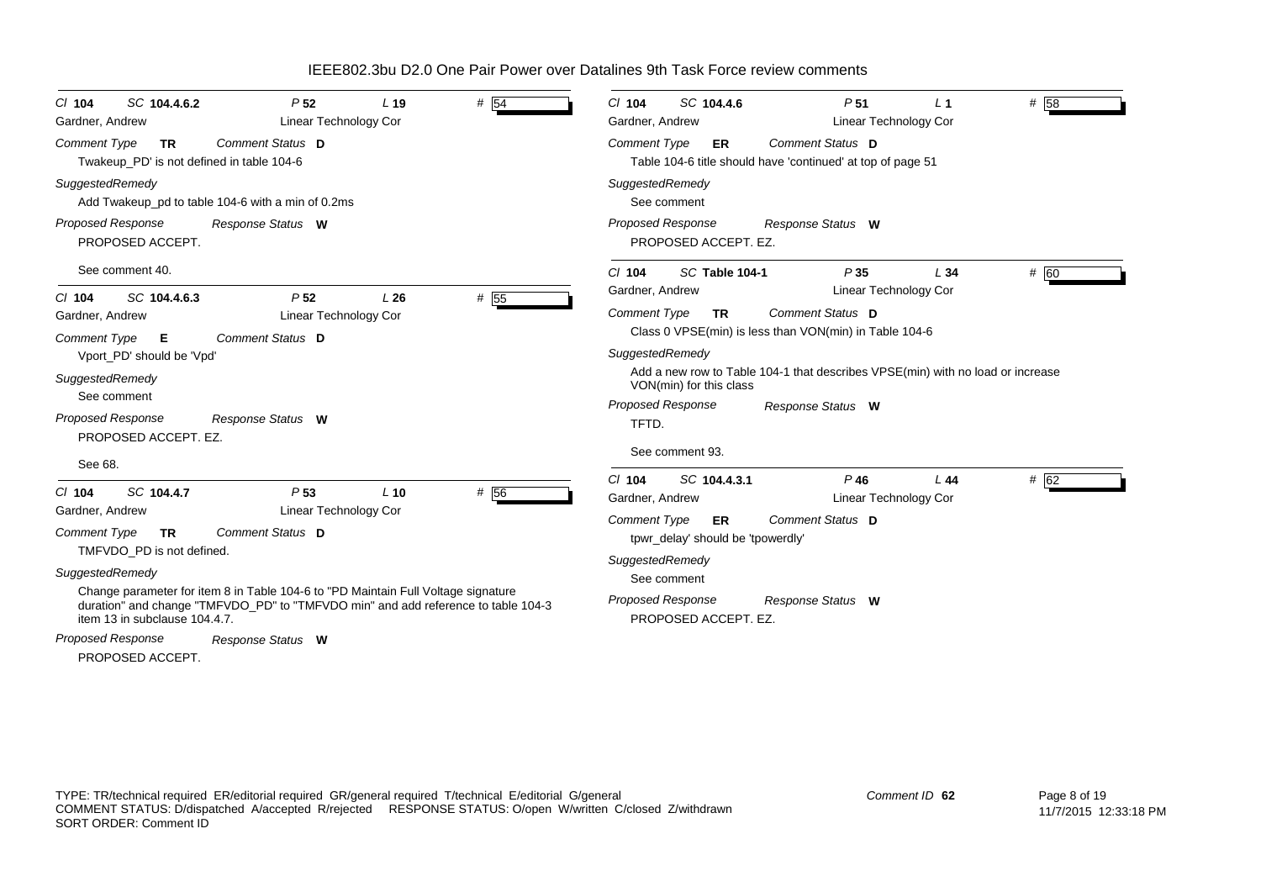| SC 104.4.6.2<br>$CI$ 104<br>Gardner, Andrew                            | P <sub>52</sub><br>Linear Technology Cor                                                                                                                               | L <sub>19</sub> | # 54 | SC 104.4.6<br>P <sub>51</sub><br>$CI$ 104<br>Gardner, Andrew                                                 | L <sub>1</sub><br>Linear Technology Cor | # 58 |
|------------------------------------------------------------------------|------------------------------------------------------------------------------------------------------------------------------------------------------------------------|-----------------|------|--------------------------------------------------------------------------------------------------------------|-----------------------------------------|------|
| Comment Type<br><b>TR</b><br>Twakeup PD' is not defined in table 104-6 | Comment Status D                                                                                                                                                       |                 |      | Comment Status D<br><b>Comment Type</b><br>ER<br>Table 104-6 title should have 'continued' at top of page 51 |                                         |      |
| SuggestedRemedy                                                        | Add Twakeup_pd to table 104-6 with a min of 0.2ms                                                                                                                      |                 |      | SuggestedRemedy<br>See comment                                                                               |                                         |      |
| <b>Proposed Response</b><br>PROPOSED ACCEPT.                           | Response Status W                                                                                                                                                      |                 |      | <b>Proposed Response</b><br>Response Status W<br>PROPOSED ACCEPT. EZ.                                        |                                         |      |
| See comment 40.                                                        |                                                                                                                                                                        |                 |      | P35<br>$CI$ 104<br>SC Table 104-1<br>Gardner, Andrew                                                         | L34<br>Linear Technology Cor            | # 60 |
| SC 104.4.6.3<br>$Cl$ 104<br>Gardner, Andrew                            | P <sub>52</sub><br><b>Linear Technology Cor</b>                                                                                                                        | L26             | # 55 | Comment Status D<br><b>Comment Type</b><br><b>TR</b>                                                         |                                         |      |
| <b>Comment Type</b><br>E<br>Vport_PD' should be 'Vpd'                  | Comment Status D                                                                                                                                                       |                 |      | Class 0 VPSE(min) is less than VON(min) in Table 104-6<br>SuggestedRemedy                                    |                                         |      |
| SuggestedRemedy<br>See comment                                         |                                                                                                                                                                        |                 |      | Add a new row to Table 104-1 that describes VPSE(min) with no load or increase<br>VON(min) for this class    |                                         |      |
| <b>Proposed Response</b><br>PROPOSED ACCEPT. EZ.                       | Response Status W                                                                                                                                                      |                 |      | <b>Proposed Response</b><br>Response Status W<br>TFTD.<br>See comment 93.                                    |                                         |      |
| See 68.                                                                |                                                                                                                                                                        |                 |      |                                                                                                              |                                         |      |
| SC 104.4.7<br>$Cl$ 104<br>Gardner, Andrew                              | P <sub>53</sub><br>Linear Technology Cor                                                                                                                               | $L$ 10          | # 56 | $Cl$ 104<br>SC 104.4.3.1<br>$P$ 46<br>Gardner, Andrew                                                        | L44<br>Linear Technology Cor            | # 62 |
| <b>Comment Type</b><br><b>TR</b><br>TMFVDO PD is not defined.          | Comment Status D                                                                                                                                                       |                 |      | Comment Type<br>Comment Status D<br>ER<br>tpwr_delay' should be 'tpowerdly'                                  |                                         |      |
| SuggestedRemedy                                                        |                                                                                                                                                                        |                 |      | SuggestedRemedy<br>See comment                                                                               |                                         |      |
| item 13 in subclause 104.4.7.                                          | Change parameter for item 8 in Table 104-6 to "PD Maintain Full Voltage signature<br>duration" and change "TMFVDO_PD" to "TMFVDO min" and add reference to table 104-3 |                 |      | <b>Proposed Response</b><br>Response Status W<br>PROPOSED ACCEPT. EZ.                                        |                                         |      |
| Proposed Response<br>PROPOSED ACCEPT.                                  | Response Status W                                                                                                                                                      |                 |      |                                                                                                              |                                         |      |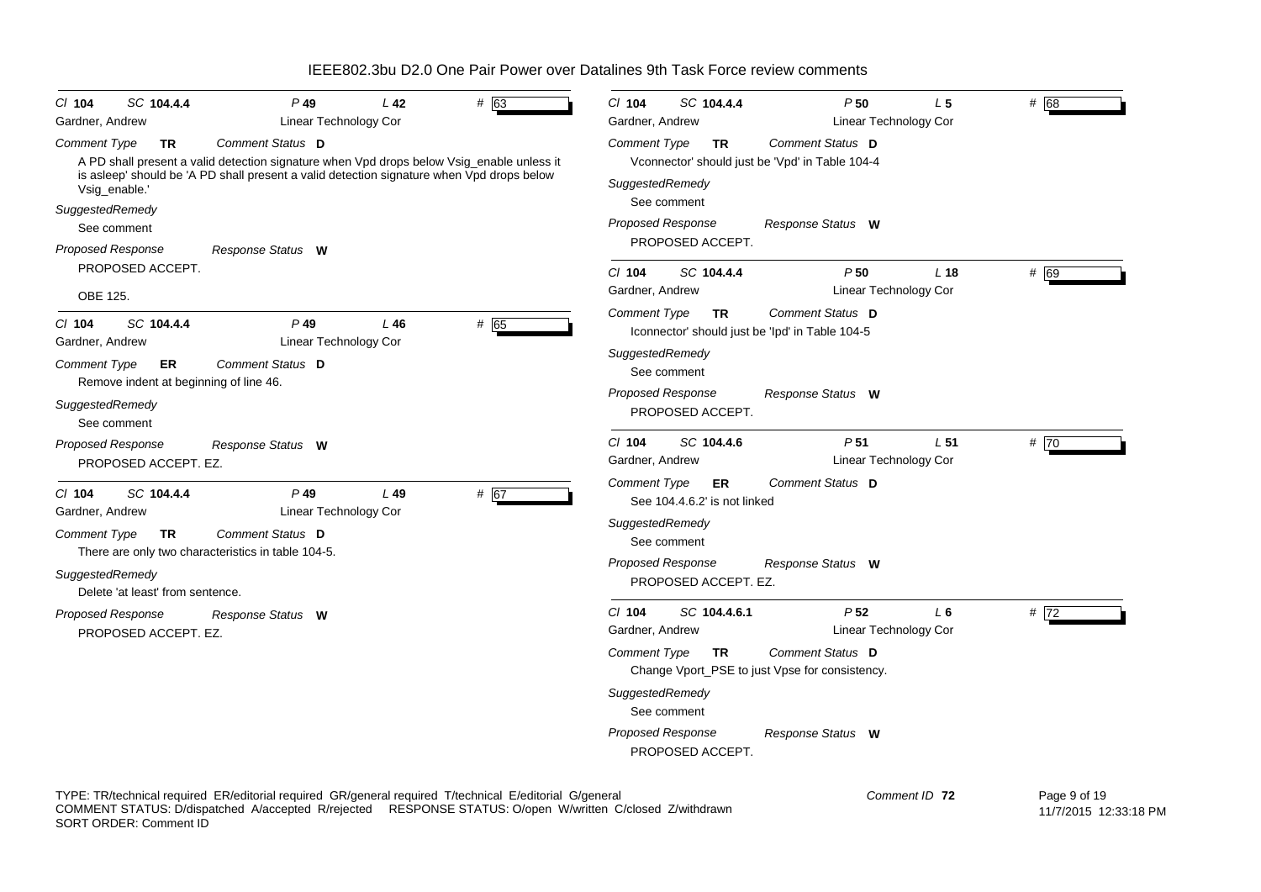| CI 104<br>Gardner, Andrew                                                                          | SC 104.4.4       | P 49<br>Linear Technology Cor                                                                                                                                                                              | L 42 | # 63 | $Cl$ 104<br>Gardner, Andrew                                                                       | SC 104.4.4                                                                 | P50                                                                                                        | L <sub>5</sub><br><b>Linear Technology Cor</b>  | # 68 |
|----------------------------------------------------------------------------------------------------|------------------|------------------------------------------------------------------------------------------------------------------------------------------------------------------------------------------------------------|------|------|---------------------------------------------------------------------------------------------------|----------------------------------------------------------------------------|------------------------------------------------------------------------------------------------------------|-------------------------------------------------|------|
| Comment Type<br>Vsig_enable.<br>SuggestedRemedy                                                    | TR               | Comment Status D<br>A PD shall present a valid detection signature when Vpd drops below Vsig_enable unless it<br>is asleep' should be 'A PD shall present a valid detection signature when Vpd drops below |      |      | <b>Comment Type</b><br>SuggestedRemedy                                                            | TR<br>See comment                                                          | Comment Status D<br>Vconnector' should just be 'Vpd' in Table 104-4                                        |                                                 |      |
| See comment                                                                                        |                  |                                                                                                                                                                                                            |      |      | <b>Proposed Response</b>                                                                          | PROPOSED ACCEPT.                                                           | Response Status W                                                                                          |                                                 |      |
| Proposed Response<br>PROPOSED ACCEPT.<br>OBE 125.                                                  |                  | Response Status W                                                                                                                                                                                          |      |      | $Cl$ 104<br>Gardner, Andrew                                                                       | SC 104.4.4                                                                 | P50                                                                                                        | L <sub>18</sub><br>Linear Technology Cor        | # 69 |
| $CI$ 104<br>Gardner, Andrew<br><b>Comment Type</b><br>SuggestedRemedy<br>See comment               | SC 104.4.4<br>ER | $P$ 49<br>Linear Technology Cor<br>Comment Status D<br>Remove indent at beginning of line 46.                                                                                                              | L46  | # 65 | <b>Comment Type</b><br>SuggestedRemedy<br><b>Proposed Response</b>                                | <b>TR</b><br>See comment<br>PROPOSED ACCEPT.                               | <b>Comment Status D</b><br>Iconnector' should just be 'Ipd' in Table 104-5<br>Response Status W            |                                                 |      |
| Proposed Response<br>PROPOSED ACCEPT. EZ.                                                          |                  | Response Status W                                                                                                                                                                                          |      |      | $Cl$ 104<br>Gardner, Andrew                                                                       | SC 104.4.6                                                                 | P <sub>51</sub>                                                                                            | L <sub>51</sub><br><b>Linear Technology Cor</b> | # 70 |
| $CI$ 104<br>Gardner, Andrew<br>Comment Type<br>SuggestedRemedy<br>Delete 'at least' from sentence. | SC 104.4.4<br>TR | $P$ 49<br>Linear Technology Cor<br><b>Comment Status D</b><br>There are only two characteristics in table 104-5.                                                                                           | L49  | # 67 | <b>Comment Type</b><br>SuggestedRemedy<br>Proposed Response                                       | ER.<br>See 104.4.6.2' is not linked<br>See comment<br>PROPOSED ACCEPT. EZ. | Comment Status D<br>Response Status W                                                                      |                                                 |      |
| Proposed Response<br>PROPOSED ACCEPT. EZ.                                                          |                  | Response Status W                                                                                                                                                                                          |      |      | $Cl$ 104<br>Gardner, Andrew<br><b>Comment Type</b><br>SuggestedRemedy<br><b>Proposed Response</b> | SC 104.4.6.1<br>TR.<br>See comment<br>PROPOSED ACCEPT.                     | P <sub>52</sub><br>Comment Status D<br>Change Vport_PSE to just Vpse for consistency.<br>Response Status W | $L_6$<br><b>Linear Technology Cor</b>           | #72  |

TYPE: TR/technical required ER/editorial required GR/general required T/technical E/editorial G/general COMMENT STATUS: D/dispatched A/accepted R/rejected RESPONSE STATUS: O/open W/written C/closed Z/withdrawn SORT ORDER: Comment ID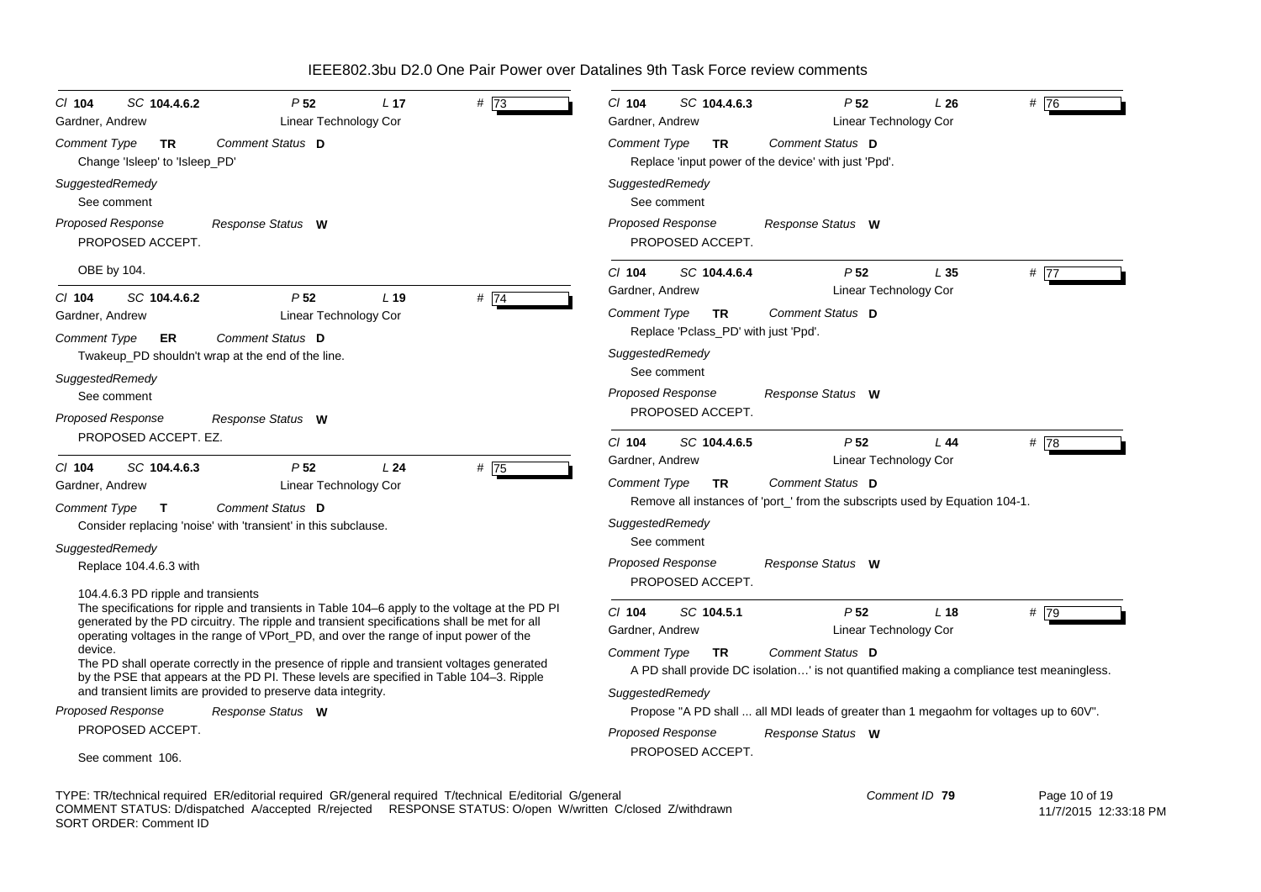| CI 104<br>SC 104.4.6.2<br>P <sub>52</sub><br># 73<br>L <sub>17</sub><br>Gardner, Andrew<br>Linear Technology Cor                                                                             | $Cl$ 104<br>SC 104.4.6.3<br>P <sub>52</sub><br># $\overline{76}$<br>L26<br>Gardner, Andrew<br>Linear Technology Cor |
|----------------------------------------------------------------------------------------------------------------------------------------------------------------------------------------------|---------------------------------------------------------------------------------------------------------------------|
| Comment Status D<br><b>Comment Type</b><br><b>TR</b><br>Change 'Isleep' to 'Isleep_PD'                                                                                                       | Comment Status D<br><b>Comment Type</b><br><b>TR</b><br>Replace 'input power of the device' with just 'Ppd'.        |
| SuggestedRemedy<br>See comment                                                                                                                                                               | SuggestedRemedy<br>See comment                                                                                      |
| <b>Proposed Response</b><br>Response Status W<br>PROPOSED ACCEPT.                                                                                                                            | <b>Proposed Response</b><br>Response Status W<br>PROPOSED ACCEPT.                                                   |
| OBE by 104.                                                                                                                                                                                  | $Cl$ 104<br>P <sub>52</sub><br># $\boxed{77}$<br>SC 104.4.6.4<br>L 35                                               |
| # 74<br>SC 104.4.6.2<br>P <sub>52</sub><br>L <sub>19</sub><br>$Cl$ 104                                                                                                                       | Gardner, Andrew<br>Linear Technology Cor                                                                            |
| Gardner, Andrew<br>Linear Technology Cor                                                                                                                                                     | Comment Status D<br>Comment Type<br>TR                                                                              |
| Comment Status D<br>Comment Type<br>ER<br>Twakeup_PD shouldn't wrap at the end of the line.                                                                                                  | Replace 'Pclass_PD' with just 'Ppd'.<br>SuggestedRemedy                                                             |
| SuggestedRemedy<br>See comment                                                                                                                                                               | See comment<br>Proposed Response<br>Response Status W                                                               |
| Proposed Response<br>Response Status W<br>PROPOSED ACCEPT. EZ.                                                                                                                               | PROPOSED ACCEPT.<br>$Cl$ 104<br>P <sub>52</sub><br>L44<br># $\overline{78}$<br>SC 104.4.6.5                         |
|                                                                                                                                                                                              | Gardner, Andrew<br>Linear Technology Cor                                                                            |
| P <sub>52</sub><br>SC 104.4.6.3<br>L24<br># $75$<br>CI 104                                                                                                                                   | Comment Status D<br>Comment Type<br><b>TR</b>                                                                       |
| Gardner, Andrew<br>Linear Technology Cor                                                                                                                                                     | Remove all instances of 'port_' from the subscripts used by Equation 104-1.                                         |
| Comment Status D<br>Comment Type<br>T.                                                                                                                                                       | SuggestedRemedy                                                                                                     |
| Consider replacing 'noise' with 'transient' in this subclause.                                                                                                                               | See comment                                                                                                         |
| SuggestedRemedy                                                                                                                                                                              | <b>Proposed Response</b><br>Response Status W                                                                       |
| Replace 104.4.6.3 with                                                                                                                                                                       | PROPOSED ACCEPT.                                                                                                    |
| 104.4.6.3 PD ripple and transients                                                                                                                                                           |                                                                                                                     |
| The specifications for ripple and transients in Table 104-6 apply to the voltage at the PD PI<br>generated by the PD circuitry. The ripple and transient specifications shall be met for all | SC 104.5.1<br>P <sub>52</sub><br>L <sub>18</sub><br># 79<br>$CI$ 104<br>Gardner, Andrew<br>Linear Technology Cor    |
| operating voltages in the range of VPort_PD, and over the range of input power of the<br>device.                                                                                             |                                                                                                                     |
| The PD shall operate correctly in the presence of ripple and transient voltages generated                                                                                                    | Comment Type<br>Comment Status D<br>TR                                                                              |
| by the PSE that appears at the PD PI. These levels are specified in Table 104-3. Ripple                                                                                                      | A PD shall provide DC isolation' is not quantified making a compliance test meaningless.                            |
| and transient limits are provided to preserve data integrity.                                                                                                                                | SuggestedRemedy                                                                                                     |
| Proposed Response<br>Response Status W                                                                                                                                                       | Propose "A PD shall  all MDI leads of greater than 1 megaohm for voltages up to 60V".                               |
| PROPOSED ACCEPT.                                                                                                                                                                             | <b>Proposed Response</b><br>Response Status W                                                                       |
| See comment 106.                                                                                                                                                                             | PROPOSED ACCEPT.                                                                                                    |
| TYPE: TR/technical required ER/editorial required GR/general required T/technical E/editorial G/general                                                                                      | Comment ID 79<br>Page 10 of 19                                                                                      |

COMMENT STATUS: D/dispatched A/accepted R/rejected RESPONSE STATUS: O/open W/written C/closed Z/withdrawn SORT ORDER: Comment ID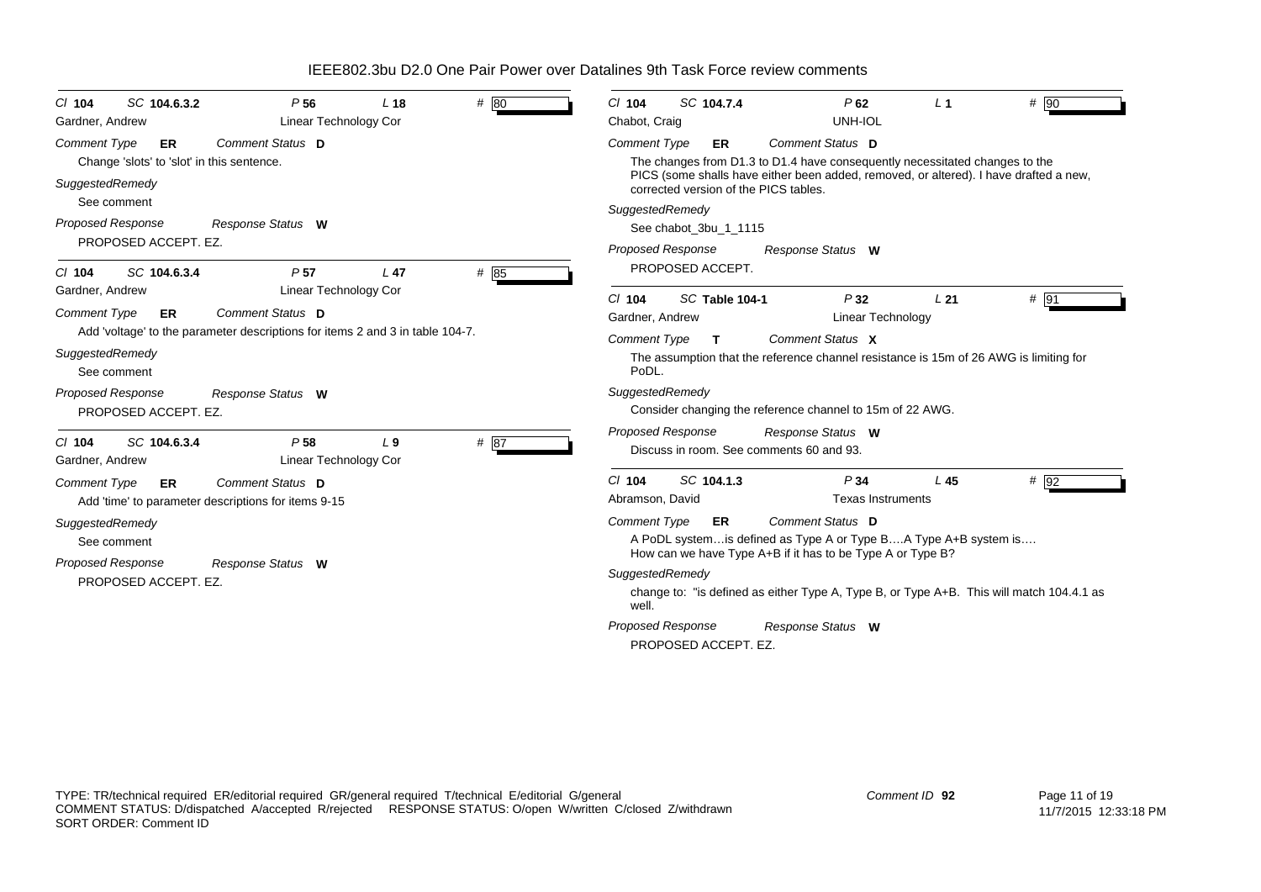| SC 104.6.3.2<br>P <sub>56</sub><br>$Cl$ 104<br>Linear Technology Cor<br>Gardner, Andrew                                                                                                                                                                     | # 80<br>L <sub>18</sub> | SC 104.7.4<br>$Cl$ 104<br>P62<br>$#$ 90<br>L <sub>1</sub><br>Chabot, Craig<br>UNH-IOL                                                                                                                                                                                                                                                                        |
|-------------------------------------------------------------------------------------------------------------------------------------------------------------------------------------------------------------------------------------------------------------|-------------------------|--------------------------------------------------------------------------------------------------------------------------------------------------------------------------------------------------------------------------------------------------------------------------------------------------------------------------------------------------------------|
| Comment Status D<br><b>Comment Type</b><br><b>ER</b><br>Change 'slots' to 'slot' in this sentence.<br>SuggestedRemedy<br>See comment<br><b>Proposed Response</b><br>Response Status W<br>PROPOSED ACCEPT. EZ.                                               |                         | Comment Status D<br><b>Comment Type</b><br>ER.<br>The changes from D1.3 to D1.4 have consequently necessitated changes to the<br>PICS (some shalls have either been added, removed, or altered). I have drafted a new,<br>corrected version of the PICS tables.<br>SuggestedRemedy<br>See chabot_3bu_1_1115<br><b>Proposed Response</b><br>Response Status W |
| SC 104.6.3.4<br>P <sub>57</sub><br>$Cl$ 104<br>Linear Technology Cor<br>Gardner, Andrew<br>Comment Status D<br><b>Comment Type</b><br>ER<br>Add 'voltage' to the parameter descriptions for items 2 and 3 in table 104-7.<br>SuggestedRemedy<br>See comment | # 85<br>L <sub>47</sub> | PROPOSED ACCEPT.<br>P32<br>$Cl$ 104<br>SC Table 104-1<br>L21<br># 91<br>Gardner, Andrew<br>Linear Technology<br><b>Comment Type</b><br>Comment Status X<br>$\mathbf{T}$<br>The assumption that the reference channel resistance is 15m of 26 AWG is limiting for<br>PoDL.                                                                                    |
| <b>Proposed Response</b><br>Response Status W<br>PROPOSED ACCEPT. EZ.                                                                                                                                                                                       |                         | SuggestedRemedy<br>Consider changing the reference channel to 15m of 22 AWG.<br>Proposed Response<br>Response Status W                                                                                                                                                                                                                                       |
| SC 104.6.3.4<br>P <sub>58</sub><br>$Cl$ 104<br>Linear Technology Cor<br>Gardner, Andrew                                                                                                                                                                     | # 87<br>L <sub>9</sub>  | Discuss in room. See comments 60 and 93.                                                                                                                                                                                                                                                                                                                     |
| Comment Status D<br><b>Comment Type</b><br>ER.<br>Add 'time' to parameter descriptions for items 9-15                                                                                                                                                       |                         | SC 104.1.3<br>P <sub>34</sub><br>L45<br>$# \overline{92}$<br>$Cl$ 104<br>Abramson, David<br><b>Texas Instruments</b>                                                                                                                                                                                                                                         |
| SuggestedRemedy<br>See comment                                                                                                                                                                                                                              |                         | <b>Comment Type</b><br>Comment Status D<br><b>ER</b><br>A PoDL system is defined as Type A or Type BA Type A+B system is<br>How can we have Type A+B if it has to be Type A or Type B?                                                                                                                                                                       |
| <b>Proposed Response</b><br>Response Status W<br>PROPOSED ACCEPT. EZ.                                                                                                                                                                                       |                         | SuggestedRemedy<br>change to: "is defined as either Type A, Type B, or Type A+B. This will match 104.4.1 as<br>well.                                                                                                                                                                                                                                         |
|                                                                                                                                                                                                                                                             |                         | Proposed Response<br>Response Status W<br>PROPOSED ACCEPT. EZ.                                                                                                                                                                                                                                                                                               |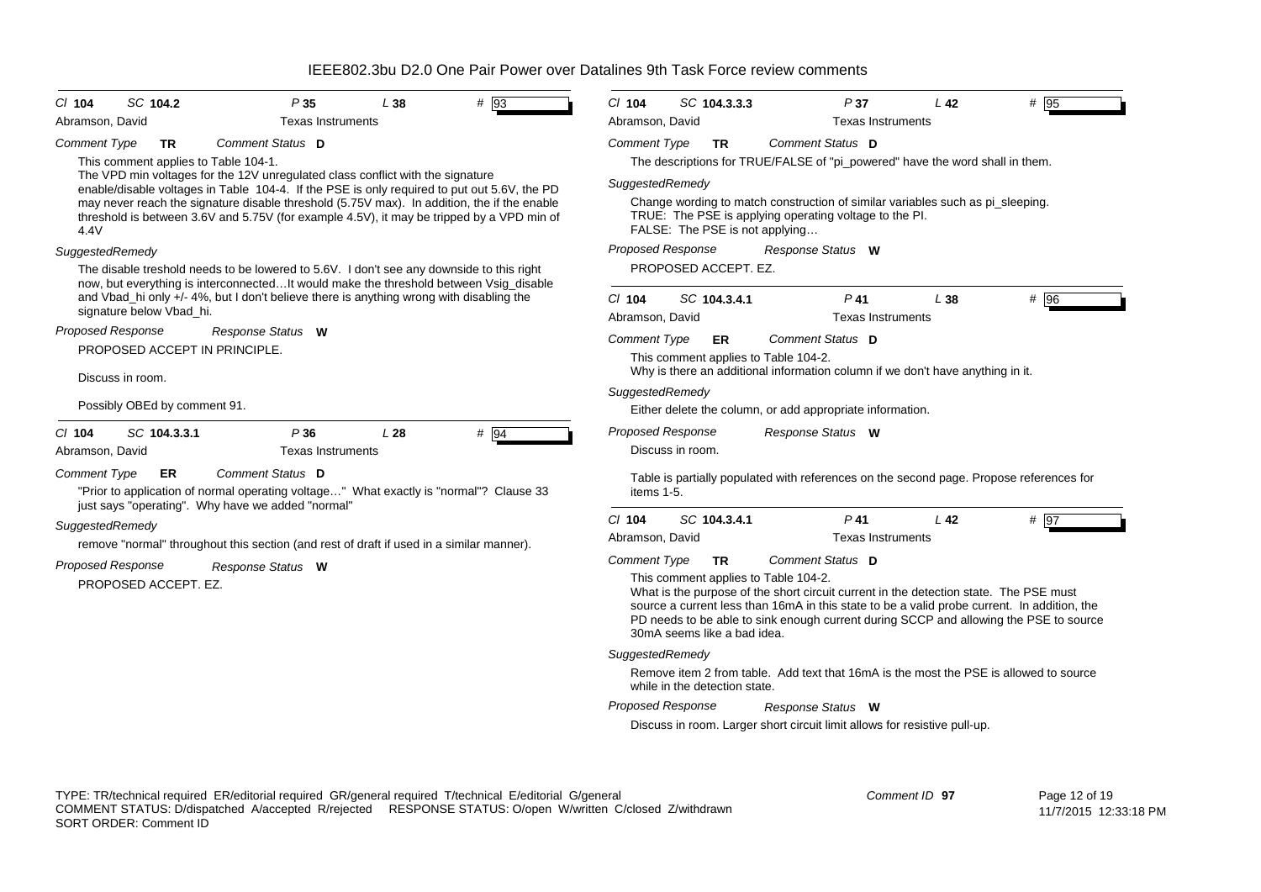| SC 104.2<br>$CI$ 104                                                                                                                                                                                                                           | P35                      | L38                                                                 | # 93                                                                                                                                                                                                                                                                          | $Cl$ 104                                                                                                               | SC 104.3.3.3                         | P37                                                                                                                                      | L42             | # 95                                   |  |
|------------------------------------------------------------------------------------------------------------------------------------------------------------------------------------------------------------------------------------------------|--------------------------|---------------------------------------------------------------------|-------------------------------------------------------------------------------------------------------------------------------------------------------------------------------------------------------------------------------------------------------------------------------|------------------------------------------------------------------------------------------------------------------------|--------------------------------------|------------------------------------------------------------------------------------------------------------------------------------------|-----------------|----------------------------------------|--|
| Abramson, David                                                                                                                                                                                                                                | <b>Texas Instruments</b> |                                                                     |                                                                                                                                                                                                                                                                               | Abramson, David                                                                                                        |                                      | <b>Texas Instruments</b>                                                                                                                 |                 |                                        |  |
| <b>Comment Type</b><br><b>TR</b>                                                                                                                                                                                                               | Comment Status D         |                                                                     |                                                                                                                                                                                                                                                                               | <b>Comment Type</b>                                                                                                    | TR                                   | Comment Status D                                                                                                                         |                 |                                        |  |
| This comment applies to Table 104-1.<br>The VPD min voltages for the 12V unregulated class conflict with the signature                                                                                                                         |                          |                                                                     |                                                                                                                                                                                                                                                                               |                                                                                                                        |                                      | The descriptions for TRUE/FALSE of "pi_powered" have the word shall in them.                                                             |                 |                                        |  |
| enable/disable voltages in Table 104-4. If the PSE is only required to put out 5.6V, the PD                                                                                                                                                    |                          |                                                                     |                                                                                                                                                                                                                                                                               | SuggestedRemedy                                                                                                        |                                      |                                                                                                                                          |                 |                                        |  |
| may never reach the signature disable threshold (5.75V max). In addition, the if the enable<br>threshold is between 3.6V and 5.75V (for example 4.5V), it may be tripped by a VPD min of<br>4.4V                                               |                          |                                                                     |                                                                                                                                                                                                                                                                               |                                                                                                                        | FALSE: The PSE is not applying       | Change wording to match construction of similar variables such as pi_sleeping.<br>TRUE: The PSE is applying operating voltage to the PI. |                 |                                        |  |
| SuggestedRemedy                                                                                                                                                                                                                                |                          |                                                                     |                                                                                                                                                                                                                                                                               | Proposed Response                                                                                                      |                                      | Response Status W                                                                                                                        |                 |                                        |  |
| The disable treshold needs to be lowered to 5.6V. I don't see any downside to this right<br>now, but everything is interconnectedIt would make the threshold between Vsig_disable                                                              |                          |                                                                     |                                                                                                                                                                                                                                                                               | PROPOSED ACCEPT. EZ.                                                                                                   |                                      |                                                                                                                                          |                 |                                        |  |
| and Vbad_hi only +/- 4%, but I don't believe there is anything wrong with disabling the                                                                                                                                                        |                          |                                                                     |                                                                                                                                                                                                                                                                               | $Cl$ 104                                                                                                               | SC 104.3.4.1                         | $P$ 41                                                                                                                                   | L38             | # 96                                   |  |
| signature below Vbad_hi.                                                                                                                                                                                                                       |                          |                                                                     |                                                                                                                                                                                                                                                                               | Abramson, David                                                                                                        |                                      | <b>Texas Instruments</b>                                                                                                                 |                 |                                        |  |
| <b>Proposed Response</b><br>PROPOSED ACCEPT IN PRINCIPLE.                                                                                                                                                                                      | Response Status W        |                                                                     |                                                                                                                                                                                                                                                                               | <b>Comment Type</b>                                                                                                    | ER                                   | Comment Status D                                                                                                                         |                 |                                        |  |
| Discuss in room.                                                                                                                                                                                                                               |                          |                                                                     |                                                                                                                                                                                                                                                                               |                                                                                                                        | This comment applies to Table 104-2. | Why is there an additional information column if we don't have anything in it.                                                           |                 |                                        |  |
|                                                                                                                                                                                                                                                |                          |                                                                     |                                                                                                                                                                                                                                                                               | SuggestedRemedy                                                                                                        |                                      |                                                                                                                                          |                 |                                        |  |
| Possibly OBEd by comment 91.                                                                                                                                                                                                                   |                          |                                                                     |                                                                                                                                                                                                                                                                               |                                                                                                                        |                                      | Either delete the column, or add appropriate information.                                                                                |                 |                                        |  |
| SC 104.3.3.1<br>$CI$ 104                                                                                                                                                                                                                       | P36                      | L <sub>28</sub>                                                     | $#$ 94                                                                                                                                                                                                                                                                        | <b>Proposed Response</b>                                                                                               |                                      | Response Status W                                                                                                                        |                 |                                        |  |
| Abramson, David                                                                                                                                                                                                                                | <b>Texas Instruments</b> |                                                                     |                                                                                                                                                                                                                                                                               |                                                                                                                        | Discuss in room.                     |                                                                                                                                          |                 |                                        |  |
| <b>Comment Type</b><br>ER<br>"Prior to application of normal operating voltage" What exactly is "normal"? Clause 33<br>just says "operating". Why have we added "normal"                                                                       | Comment Status D         |                                                                     |                                                                                                                                                                                                                                                                               | items 1-5.                                                                                                             |                                      | Table is partially populated with references on the second page. Propose references for                                                  |                 |                                        |  |
| SuggestedRemedy                                                                                                                                                                                                                                |                          |                                                                     |                                                                                                                                                                                                                                                                               | $Cl$ 104                                                                                                               | SC 104.3.4.1                         | $P$ 41                                                                                                                                   | L <sub>42</sub> | # 97                                   |  |
| remove "normal" throughout this section (and rest of draft if used in a similar manner).                                                                                                                                                       |                          |                                                                     |                                                                                                                                                                                                                                                                               | Abramson, David                                                                                                        |                                      | <b>Texas Instruments</b>                                                                                                                 |                 |                                        |  |
|                                                                                                                                                                                                                                                |                          |                                                                     |                                                                                                                                                                                                                                                                               | Comment Type                                                                                                           | <b>TR</b>                            | Comment Status D                                                                                                                         |                 |                                        |  |
| <b>Proposed Response</b><br>Response Status W<br>PROPOSED ACCEPT. EZ.                                                                                                                                                                          |                          | This comment applies to Table 104-2.<br>30mA seems like a bad idea. | What is the purpose of the short circuit current in the detection state. The PSE must<br>source a current less than 16mA in this state to be a valid probe current. In addition, the<br>PD needs to be able to sink enough current during SCCP and allowing the PSE to source |                                                                                                                        |                                      |                                                                                                                                          |                 |                                        |  |
|                                                                                                                                                                                                                                                |                          |                                                                     |                                                                                                                                                                                                                                                                               | SuggestedRemedy                                                                                                        |                                      |                                                                                                                                          |                 |                                        |  |
|                                                                                                                                                                                                                                                |                          |                                                                     |                                                                                                                                                                                                                                                                               | Remove item 2 from table. Add text that 16mA is the most the PSE is allowed to source<br>while in the detection state. |                                      |                                                                                                                                          |                 |                                        |  |
|                                                                                                                                                                                                                                                |                          |                                                                     |                                                                                                                                                                                                                                                                               | <b>Proposed Response</b><br>Response Status W                                                                          |                                      |                                                                                                                                          |                 |                                        |  |
|                                                                                                                                                                                                                                                |                          |                                                                     |                                                                                                                                                                                                                                                                               |                                                                                                                        |                                      | Discuss in room. Larger short circuit limit allows for resistive pull-up.                                                                |                 |                                        |  |
|                                                                                                                                                                                                                                                |                          |                                                                     |                                                                                                                                                                                                                                                                               |                                                                                                                        |                                      |                                                                                                                                          |                 |                                        |  |
| TYPE: TR/technical required ER/editorial required GR/general required T/technical E/editorial G/general<br>COMMENT STATUS: D/dispatched A/accepted R/rejected RESPONSE STATUS: O/open W/written C/closed Z/withdrawn<br>SORT ORDER: Comment ID |                          |                                                                     |                                                                                                                                                                                                                                                                               |                                                                                                                        |                                      |                                                                                                                                          | Comment ID 97   | Page 12 of 19<br>11/7/2015 12:33:18 PM |  |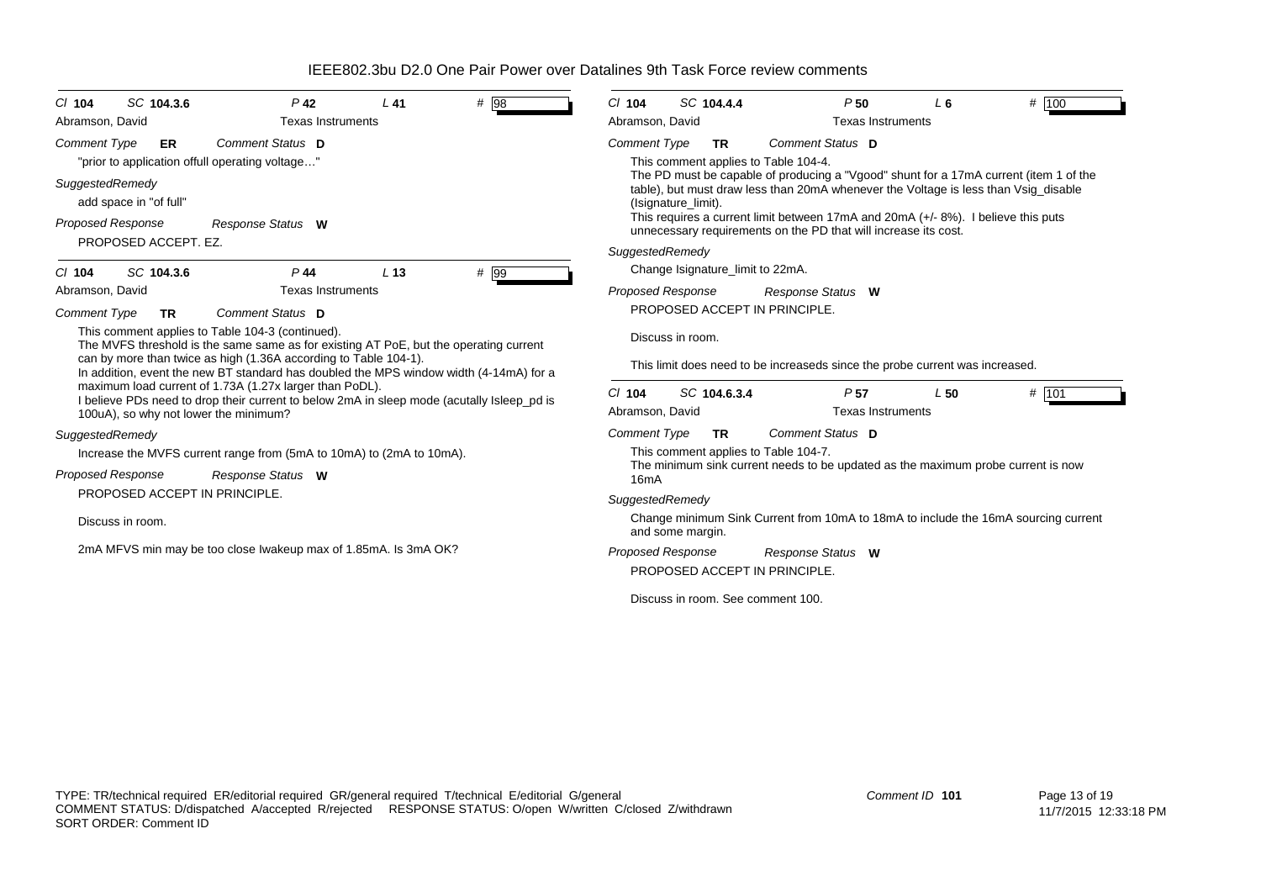| SC 104.3.6<br>$CI$ 104                                                                                                                                                                         | $P$ 42                   | $L$ 41                            | # 98                                                                                                                                                                                                | SC 104.4.4<br>$Cl$ 104                                                                                                                                  |                                             | P <sub>50</sub>          | $L_6$ | # 100                                                                              |
|------------------------------------------------------------------------------------------------------------------------------------------------------------------------------------------------|--------------------------|-----------------------------------|-----------------------------------------------------------------------------------------------------------------------------------------------------------------------------------------------------|---------------------------------------------------------------------------------------------------------------------------------------------------------|---------------------------------------------|--------------------------|-------|------------------------------------------------------------------------------------|
| Abramson, David                                                                                                                                                                                | <b>Texas Instruments</b> |                                   |                                                                                                                                                                                                     | Abramson, David                                                                                                                                         |                                             | <b>Texas Instruments</b> |       |                                                                                    |
| <b>Comment Type</b><br>ER<br>"prior to application offull operating voltage"                                                                                                                   | Comment Status D         |                                   |                                                                                                                                                                                                     | <b>Comment Type</b><br><b>TR</b><br>This comment applies to Table 104-4.                                                                                |                                             | Comment Status D         |       |                                                                                    |
| SuggestedRemedy<br>add space in "of full"                                                                                                                                                      |                          |                                   | The PD must be capable of producing a "Vgood" shunt for a 17mA current (item 1 of the<br>table), but must draw less than 20mA whenever the Voltage is less than Vsig disable<br>(Isignature_limit). |                                                                                                                                                         |                                             |                          |       |                                                                                    |
| Proposed Response                                                                                                                                                                              | Response Status W        |                                   |                                                                                                                                                                                                     | This requires a current limit between 17mA and 20mA $(+/- 8%)$ . I believe this puts<br>unnecessary requirements on the PD that will increase its cost. |                                             |                          |       |                                                                                    |
| PROPOSED ACCEPT. EZ.                                                                                                                                                                           |                          |                                   |                                                                                                                                                                                                     | SuggestedRemedy                                                                                                                                         |                                             |                          |       |                                                                                    |
| SC 104.3.6<br>$CI$ 104                                                                                                                                                                         | $P$ 44                   | L <sub>13</sub>                   | # 99                                                                                                                                                                                                | Change Isignature_limit to 22mA.                                                                                                                        |                                             |                          |       |                                                                                    |
| Abramson, David                                                                                                                                                                                | <b>Texas Instruments</b> |                                   |                                                                                                                                                                                                     | Proposed Response                                                                                                                                       |                                             | Response Status W        |       |                                                                                    |
| <b>Comment Type</b><br>TR                                                                                                                                                                      | Comment Status D         |                                   |                                                                                                                                                                                                     | PROPOSED ACCEPT IN PRINCIPLE.                                                                                                                           |                                             |                          |       |                                                                                    |
| This comment applies to Table 104-3 (continued).<br>The MVFS threshold is the same same as for existing AT PoE, but the operating current                                                      |                          |                                   |                                                                                                                                                                                                     | Discuss in room.                                                                                                                                        |                                             |                          |       |                                                                                    |
| can by more than twice as high (1.36A according to Table 104-1).<br>In addition, event the new BT standard has doubled the MPS window width (4-14mA) for a                                     |                          |                                   |                                                                                                                                                                                                     | This limit does need to be increaseds since the probe current was increased.                                                                            |                                             |                          |       |                                                                                    |
| maximum load current of 1.73A (1.27x larger than PoDL).<br>I believe PDs need to drop their current to below 2mA in sleep mode (acutally Isleep pd is<br>100uA), so why not lower the minimum? |                          |                                   | $Cl$ 104<br>SC 104.6.3.4<br>Abramson, David                                                                                                                                                         |                                                                                                                                                         | P <sub>57</sub><br><b>Texas Instruments</b> | L50                      | # 101 |                                                                                    |
| SuggestedRemedy                                                                                                                                                                                |                          |                                   |                                                                                                                                                                                                     | <b>Comment Type</b><br>TR                                                                                                                               |                                             | Comment Status D         |       |                                                                                    |
| Increase the MVFS current range from (5mA to 10mA) to (2mA to 10mA).                                                                                                                           |                          |                                   | This comment applies to Table 104-7.<br>The minimum sink current needs to be updated as the maximum probe current is now<br>16 <sub>m</sub> A                                                       |                                                                                                                                                         |                                             |                          |       |                                                                                    |
| <b>Proposed Response</b><br>Response Status W                                                                                                                                                  |                          |                                   |                                                                                                                                                                                                     |                                                                                                                                                         |                                             |                          |       |                                                                                    |
| PROPOSED ACCEPT IN PRINCIPLE.                                                                                                                                                                  |                          |                                   |                                                                                                                                                                                                     | SuggestedRemedy                                                                                                                                         |                                             |                          |       |                                                                                    |
| Discuss in room.                                                                                                                                                                               |                          |                                   |                                                                                                                                                                                                     | and some margin.                                                                                                                                        |                                             |                          |       | Change minimum Sink Current from 10mA to 18mA to include the 16mA sourcing current |
| 2mA MFVS min may be too close Iwakeup max of 1.85mA. Is 3mA OK?                                                                                                                                |                          |                                   |                                                                                                                                                                                                     | <b>Proposed Response</b>                                                                                                                                |                                             | Response Status W        |       |                                                                                    |
|                                                                                                                                                                                                |                          |                                   | PROPOSED ACCEPT IN PRINCIPLE.                                                                                                                                                                       |                                                                                                                                                         |                                             |                          |       |                                                                                    |
|                                                                                                                                                                                                |                          | Discuss in room. See comment 100. |                                                                                                                                                                                                     |                                                                                                                                                         |                                             |                          |       |                                                                                    |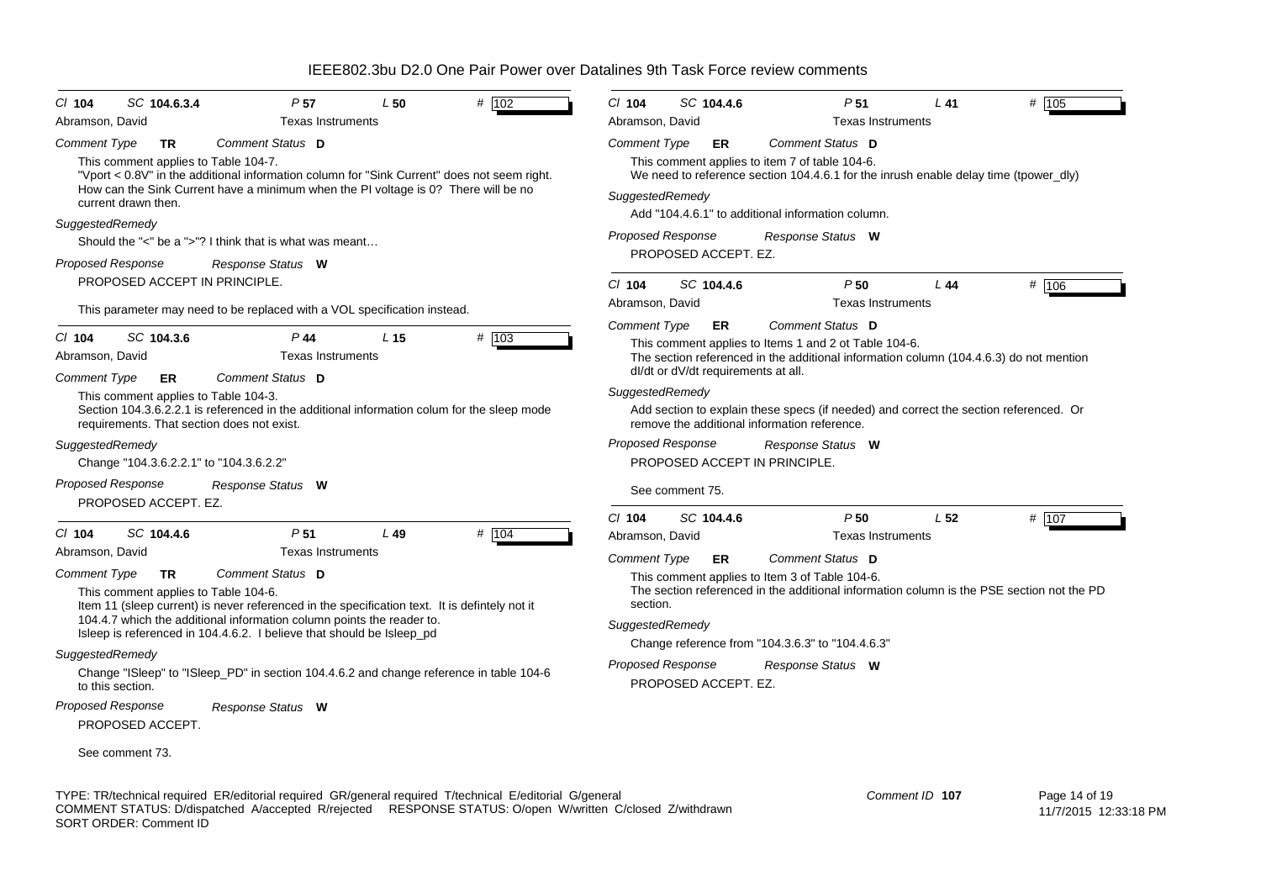| SC 104.6.3.4<br>P <sub>57</sub><br>L50<br># $102$<br>$Cl$ 104<br>Abramson, David<br><b>Texas Instruments</b>                                                                                                                                                                                             | $Cl$ 104<br>SC 104.4.6<br>Abramson, David                                                                                                                                                                                      | P <sub>51</sub><br><b>Texas Instruments</b>         | $L$ 41          | # 105 |  |
|----------------------------------------------------------------------------------------------------------------------------------------------------------------------------------------------------------------------------------------------------------------------------------------------------------|--------------------------------------------------------------------------------------------------------------------------------------------------------------------------------------------------------------------------------|-----------------------------------------------------|-----------------|-------|--|
| <b>Comment Type</b><br>Comment Status D<br><b>TR</b><br>This comment applies to Table 104-7.<br>"Vport < 0.8V" in the additional information column for "Sink Current" does not seem right.<br>How can the Sink Current have a minimum when the PI voltage is 0? There will be no<br>current drawn then. | <b>Comment Type</b><br>ER<br>This comment applies to item 7 of table 104-6.<br>We need to reference section 104.4.6.1 for the inrush enable delay time (tpower dly)<br>SuggestedRemedy                                         | Comment Status D                                    |                 |       |  |
| SuggestedRemedy<br>Should the "<" be a ">"? I think that is what was meant<br><b>Proposed Response</b><br>Response Status W                                                                                                                                                                              | Add "104.4.6.1" to additional information column.<br><b>Proposed Response</b><br>PROPOSED ACCEPT. EZ.                                                                                                                          | Response Status W                                   |                 |       |  |
| PROPOSED ACCEPT IN PRINCIPLE.<br>This parameter may need to be replaced with a VOL specification instead.                                                                                                                                                                                                | $Cl$ 104<br>SC 104.4.6<br>Abramson, David                                                                                                                                                                                      | P <sub>50</sub><br><b>Texas Instruments</b>         | L44             | # 106 |  |
| SC 104.3.6<br>$P$ 44<br>$# \overline{103}$<br>$Cl$ 104<br>L <sub>15</sub><br>Abramson, David<br><b>Texas Instruments</b><br>Comment Status D<br><b>Comment Type</b><br>ER                                                                                                                                | <b>Comment Type</b><br>ER.<br>This comment applies to Items 1 and 2 ot Table 104-6.<br>The section referenced in the additional information column (104.4.6.3) do not mention<br>dl/dt or dV/dt requirements at all.           | Comment Status D                                    |                 |       |  |
| This comment applies to Table 104-3.<br>Section 104.3.6.2.2.1 is referenced in the additional information colum for the sleep mode<br>requirements. That section does not exist.                                                                                                                         | SuggestedRemedy<br>Add section to explain these specs (if needed) and correct the section referenced. Or<br>remove the additional information reference.                                                                       |                                                     |                 |       |  |
| SuggestedRemedy<br>Change "104.3.6.2.2.1" to "104.3.6.2.2"                                                                                                                                                                                                                                               | <b>Proposed Response</b><br>PROPOSED ACCEPT IN PRINCIPLE.                                                                                                                                                                      | Response Status W                                   |                 |       |  |
| <b>Proposed Response</b><br>Response Status W<br>PROPOSED ACCEPT. EZ.                                                                                                                                                                                                                                    | See comment 75.                                                                                                                                                                                                                |                                                     |                 |       |  |
| # 104<br>SC 104.4.6<br>P <sub>51</sub><br>L49<br>$CI$ 104<br><b>Texas Instruments</b><br>Abramson, David                                                                                                                                                                                                 | $Cl$ 104<br>SC 104.4.6<br>Abramson, David<br><b>Comment Type</b><br><b>ER</b>                                                                                                                                                  | P50<br><b>Texas Instruments</b><br>Comment Status D | L <sub>52</sub> | # 107 |  |
| <b>Comment Type</b><br>Comment Status D<br><b>TR</b><br>This comment applies to Table 104-6.<br>Item 11 (sleep current) is never referenced in the specification text. It is defintely not it                                                                                                            | This comment applies to Item 3 of Table 104-6.<br>The section referenced in the additional information column is the PSE section not the PD<br>section.<br>SuggestedRemedy<br>Change reference from "104.3.6.3" to "104.4.6.3" |                                                     |                 |       |  |
| 104.4.7 which the additional information column points the reader to.<br>Isleep is referenced in 104.4.6.2. I believe that should be Isleep_pd                                                                                                                                                           |                                                                                                                                                                                                                                |                                                     |                 |       |  |
| SuggestedRemedy<br>Change "ISleep" to "ISleep_PD" in section 104.4.6.2 and change reference in table 104-6<br>to this section.                                                                                                                                                                           | <b>Proposed Response</b><br>PROPOSED ACCEPT. EZ.                                                                                                                                                                               | Response Status W                                   |                 |       |  |
| <b>Proposed Response</b><br>Response Status W<br>PROPOSED ACCEPT.                                                                                                                                                                                                                                        |                                                                                                                                                                                                                                |                                                     |                 |       |  |
| See comment 73.                                                                                                                                                                                                                                                                                          |                                                                                                                                                                                                                                |                                                     |                 |       |  |

TYPE: TR/technical required ER/editorial required GR/general required T/technical E/editorial G/general COMMENT STATUS: D/dispatched A/accepted R/rejected RESPONSE STATUS: O/open W/written C/closed Z/withdrawn SORT ORDER: Comment ID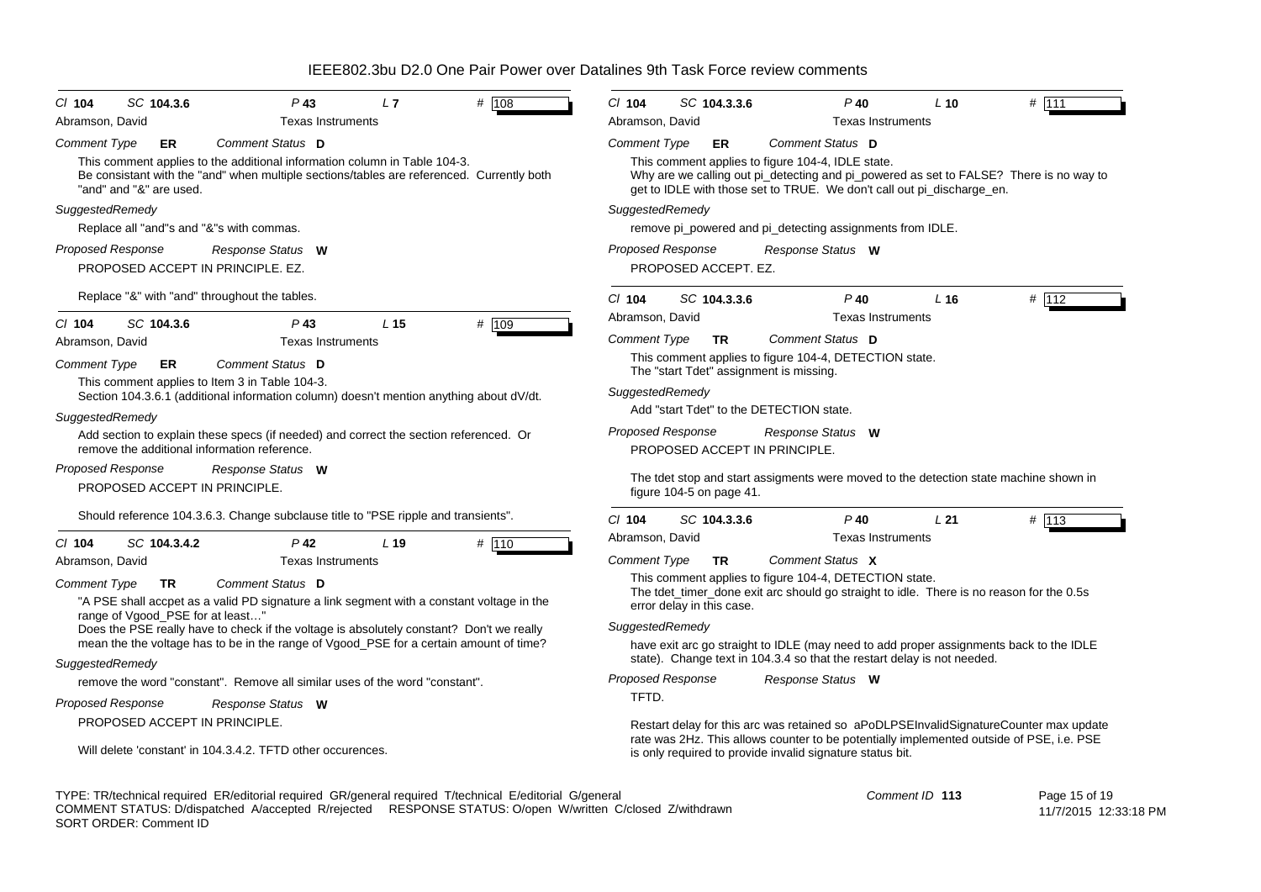| $P$ 43<br>L7<br># 108<br>SC 104.3.6<br>$CI$ 104<br>Abramson, David<br><b>Texas Instruments</b>                                                                                        | $#$ 111<br>SC 104.3.3.6<br>$CI$ 104<br>$P$ 40<br>$L$ 10<br>Abramson, David<br><b>Texas Instruments</b>                                                                          |  |  |  |  |
|---------------------------------------------------------------------------------------------------------------------------------------------------------------------------------------|---------------------------------------------------------------------------------------------------------------------------------------------------------------------------------|--|--|--|--|
| Comment Status D<br><b>Comment Type</b><br>ER<br>This comment applies to the additional information column in Table 104-3.                                                            | Comment Status D<br><b>Comment Type</b><br>ER.<br>This comment applies to figure 104-4, IDLE state.                                                                             |  |  |  |  |
| Be consistant with the "and" when multiple sections/tables are referenced. Currently both<br>"and" and "&" are used.                                                                  | Why are we calling out pi_detecting and pi_powered as set to FALSE? There is no way to<br>get to IDLE with those set to TRUE. We don't call out pi_discharge_en.                |  |  |  |  |
| SuggestedRemedy                                                                                                                                                                       | SuggestedRemedy                                                                                                                                                                 |  |  |  |  |
| Replace all "and"s and "&"s with commas.                                                                                                                                              | remove pi_powered and pi_detecting assignments from IDLE.                                                                                                                       |  |  |  |  |
| <b>Proposed Response</b><br>Response Status W<br>PROPOSED ACCEPT IN PRINCIPLE, EZ.                                                                                                    | <b>Proposed Response</b><br>Response Status W<br>PROPOSED ACCEPT. EZ.                                                                                                           |  |  |  |  |
| Replace "&" with "and" throughout the tables.                                                                                                                                         | # 112<br>$Cl$ 104<br>SC 104.3.3.6<br>$P$ 40<br>L <sub>16</sub>                                                                                                                  |  |  |  |  |
| SC 104.3.6<br>$P$ 43<br>L <sub>15</sub><br># 109<br>$Cl$ 104                                                                                                                          | Abramson, David<br><b>Texas Instruments</b>                                                                                                                                     |  |  |  |  |
| Abramson, David<br><b>Texas Instruments</b>                                                                                                                                           | Comment Status D<br><b>Comment Type</b><br><b>TR</b>                                                                                                                            |  |  |  |  |
| <b>Comment Type</b><br>Comment Status D<br>ER                                                                                                                                         | This comment applies to figure 104-4, DETECTION state.<br>The "start Tdet" assignment is missing.                                                                               |  |  |  |  |
| This comment applies to Item 3 in Table 104-3.<br>Section 104.3.6.1 (additional information column) doesn't mention anything about dV/dt.                                             | SuggestedRemedy                                                                                                                                                                 |  |  |  |  |
| SuggestedRemedy                                                                                                                                                                       | Add "start Tdet" to the DETECTION state.                                                                                                                                        |  |  |  |  |
| Add section to explain these specs (if needed) and correct the section referenced. Or<br>remove the additional information reference.                                                 | <b>Proposed Response</b><br>Response Status W<br>PROPOSED ACCEPT IN PRINCIPLE.                                                                                                  |  |  |  |  |
| Proposed Response<br>Response Status W<br>PROPOSED ACCEPT IN PRINCIPLE.                                                                                                               | The tdet stop and start assigments were moved to the detection state machine shown in<br>figure 104-5 on page 41.                                                               |  |  |  |  |
| Should reference 104.3.6.3. Change subclause title to "PSE ripple and transients".                                                                                                    | SC 104.3.3.6<br># 113<br>$Cl$ 104<br>$P$ 40<br>L21                                                                                                                              |  |  |  |  |
| SC 104.3.4.2<br>$P$ 42<br>L <sub>19</sub><br># 110<br>$CI$ 104                                                                                                                        | Abramson, David<br><b>Texas Instruments</b>                                                                                                                                     |  |  |  |  |
| Abramson, David<br><b>Texas Instruments</b>                                                                                                                                           | Comment Status X<br><b>Comment Type</b><br><b>TR</b>                                                                                                                            |  |  |  |  |
| Comment Status D<br><b>Comment Type</b><br><b>TR</b><br>"A PSE shall accpet as a valid PD signature a link segment with a constant voltage in the<br>range of Vgood_PSE for at least" | This comment applies to figure 104-4, DETECTION state.<br>The tdet_timer_done exit arc should go straight to idle. There is no reason for the 0.5s<br>error delay in this case. |  |  |  |  |
| Does the PSE really have to check if the voltage is absolutely constant? Don't we really                                                                                              | SuggestedRemedy                                                                                                                                                                 |  |  |  |  |
| mean the the voltage has to be in the range of Vgood_PSE for a certain amount of time?<br>SuggestedRemedy                                                                             | have exit arc go straight to IDLE (may need to add proper assignments back to the IDLE<br>state). Change text in 104.3.4 so that the restart delay is not needed.               |  |  |  |  |
| remove the word "constant". Remove all similar uses of the word "constant".                                                                                                           | Proposed Response<br>Response Status W                                                                                                                                          |  |  |  |  |
| Proposed Response<br>Response Status W                                                                                                                                                | TFTD.                                                                                                                                                                           |  |  |  |  |
| PROPOSED ACCEPT IN PRINCIPLE.                                                                                                                                                         | Restart delay for this arc was retained so aPoDLPSEInvalidSignatureCounter max update                                                                                           |  |  |  |  |
| Will delete 'constant' in 104.3.4.2. TFTD other occurences.                                                                                                                           | rate was 2Hz. This allows counter to be potentially implemented outside of PSE, i.e. PSE<br>is only required to provide invalid signature status bit.                           |  |  |  |  |

TYPE: TR/technical required ER/editorial required GR/general required T/technical E/editorial G/general COMMENT STATUS: D/dispatched A/accepted R/rejected RESPONSE STATUS: O/open W/written C/closed Z/withdrawn SORT ORDER: Comment ID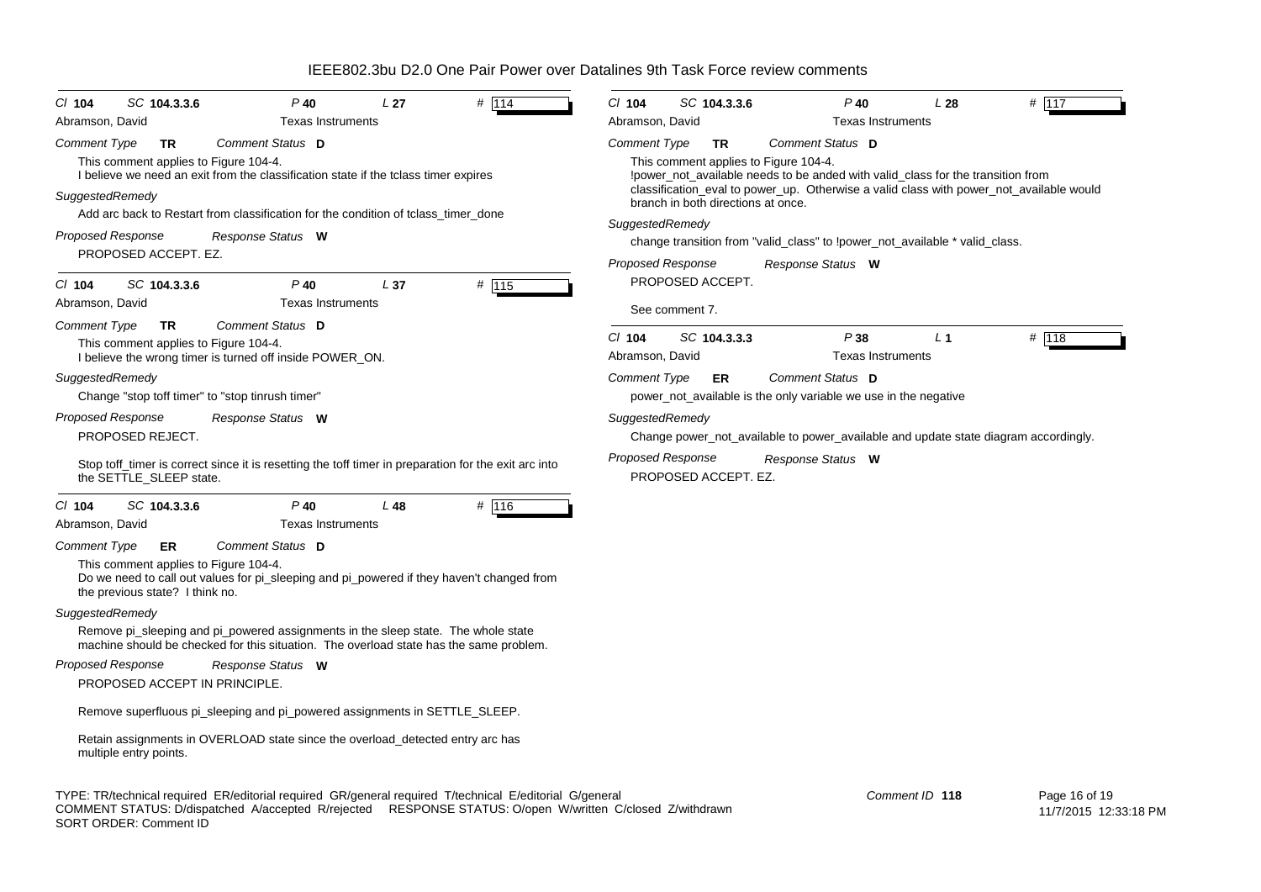| CI 104<br>SC 104.3.3.6<br>Abramson, David                                                             | $P$ 40<br><b>Texas Instruments</b>                                                                                                                                          | L <sub>27</sub> | # 114 | $CI$ 104<br>Abramson, David | SC 104.3.3.6                                                                                                                                                   |                   | $P$ 40<br><b>Texas Instruments</b> | L28            | $#$ 117                                                                                 |
|-------------------------------------------------------------------------------------------------------|-----------------------------------------------------------------------------------------------------------------------------------------------------------------------------|-----------------|-------|-----------------------------|----------------------------------------------------------------------------------------------------------------------------------------------------------------|-------------------|------------------------------------|----------------|-----------------------------------------------------------------------------------------|
| TR                                                                                                    | Comment Status D                                                                                                                                                            |                 |       | <b>Comment Type</b>         | TR.                                                                                                                                                            | Comment Status D  |                                    |                |                                                                                         |
| Comment Type<br>This comment applies to Figure 104-4.<br>SuggestedRemedy                              | I believe we need an exit from the classification state if the tclass timer expires                                                                                         |                 |       |                             | This comment applies to Figure 104-4.<br>loower not available needs to be anded with valid class for the transition from<br>branch in both directions at once. |                   |                                    |                | classification_eval to power_up. Otherwise a valid class with power_not_available would |
|                                                                                                       | Add arc back to Restart from classification for the condition of tclass_timer_done                                                                                          |                 |       | SuggestedRemedy             |                                                                                                                                                                |                   |                                    |                |                                                                                         |
| <b>Proposed Response</b>                                                                              | Response Status W                                                                                                                                                           |                 |       |                             | change transition from "valid_class" to !power_not_available * valid_class.                                                                                    |                   |                                    |                |                                                                                         |
| PROPOSED ACCEPT. EZ.                                                                                  |                                                                                                                                                                             |                 |       | <b>Proposed Response</b>    |                                                                                                                                                                | Response Status W |                                    |                |                                                                                         |
| SC 104.3.3.6<br>$Cl$ 104<br>Abramson, David                                                           | $P$ 40<br><b>Texas Instruments</b>                                                                                                                                          | L <sub>37</sub> | # 115 |                             | PROPOSED ACCEPT.                                                                                                                                               |                   |                                    |                |                                                                                         |
| Comment Type<br><b>TR</b>                                                                             | Comment Status D                                                                                                                                                            |                 |       |                             | See comment 7.                                                                                                                                                 |                   |                                    |                |                                                                                         |
| This comment applies to Figure 104-4.                                                                 | I believe the wrong timer is turned off inside POWER_ON.                                                                                                                    |                 |       | $CI$ 104<br>Abramson, David | SC 104.3.3.3                                                                                                                                                   |                   | P38<br><b>Texas Instruments</b>    | L <sub>1</sub> | # 118                                                                                   |
| SuggestedRemedy                                                                                       |                                                                                                                                                                             |                 |       | <b>Comment Type</b>         | ER                                                                                                                                                             | Comment Status D  |                                    |                |                                                                                         |
|                                                                                                       | Change "stop toff timer" to "stop tinrush timer"                                                                                                                            |                 |       |                             | power_not_available is the only variable we use in the negative                                                                                                |                   |                                    |                |                                                                                         |
| <b>Proposed Response</b><br>PROPOSED REJECT.                                                          | Response Status W                                                                                                                                                           |                 |       | SuggestedRemedy             |                                                                                                                                                                |                   |                                    |                | Change power_not_available to power_available and update state diagram accordingly.     |
| the SETTLE_SLEEP state.                                                                               | Stop toff_timer is correct since it is resetting the toff timer in preparation for the exit arc into                                                                        |                 |       | <b>Proposed Response</b>    | PROPOSED ACCEPT. EZ.                                                                                                                                           | Response Status W |                                    |                |                                                                                         |
| $Cl$ 104<br>SC 104.3.3.6<br>Abramson, David                                                           | $P$ 40<br><b>Texas Instruments</b>                                                                                                                                          | L48             | # 116 |                             |                                                                                                                                                                |                   |                                    |                |                                                                                         |
| <b>Comment Type</b><br>ER<br>This comment applies to Figure 104-4.<br>the previous state? I think no. | Comment Status D<br>Do we need to call out values for pi_sleeping and pi_powered if they haven't changed from                                                               |                 |       |                             |                                                                                                                                                                |                   |                                    |                |                                                                                         |
| SuggestedRemedy                                                                                       |                                                                                                                                                                             |                 |       |                             |                                                                                                                                                                |                   |                                    |                |                                                                                         |
|                                                                                                       | Remove pi_sleeping and pi_powered assignments in the sleep state. The whole state<br>machine should be checked for this situation. The overload state has the same problem. |                 |       |                             |                                                                                                                                                                |                   |                                    |                |                                                                                         |
| <b>Proposed Response</b>                                                                              | Response Status W                                                                                                                                                           |                 |       |                             |                                                                                                                                                                |                   |                                    |                |                                                                                         |
| PROPOSED ACCEPT IN PRINCIPLE.                                                                         |                                                                                                                                                                             |                 |       |                             |                                                                                                                                                                |                   |                                    |                |                                                                                         |
|                                                                                                       | Remove superfluous pi_sleeping and pi_powered assignments in SETTLE_SLEEP.                                                                                                  |                 |       |                             |                                                                                                                                                                |                   |                                    |                |                                                                                         |
| multiple entry points.                                                                                | Retain assignments in OVERLOAD state since the overload detected entry arc has                                                                                              |                 |       |                             |                                                                                                                                                                |                   |                                    |                |                                                                                         |

TYPE: TR/technical required ER/editorial required GR/general required T/technical E/editorial G/general COMMENT STATUS: D/dispatched A/accepted R/rejected RESPONSE STATUS: O/open W/written C/closed Z/withdrawn SORT ORDER: Comment ID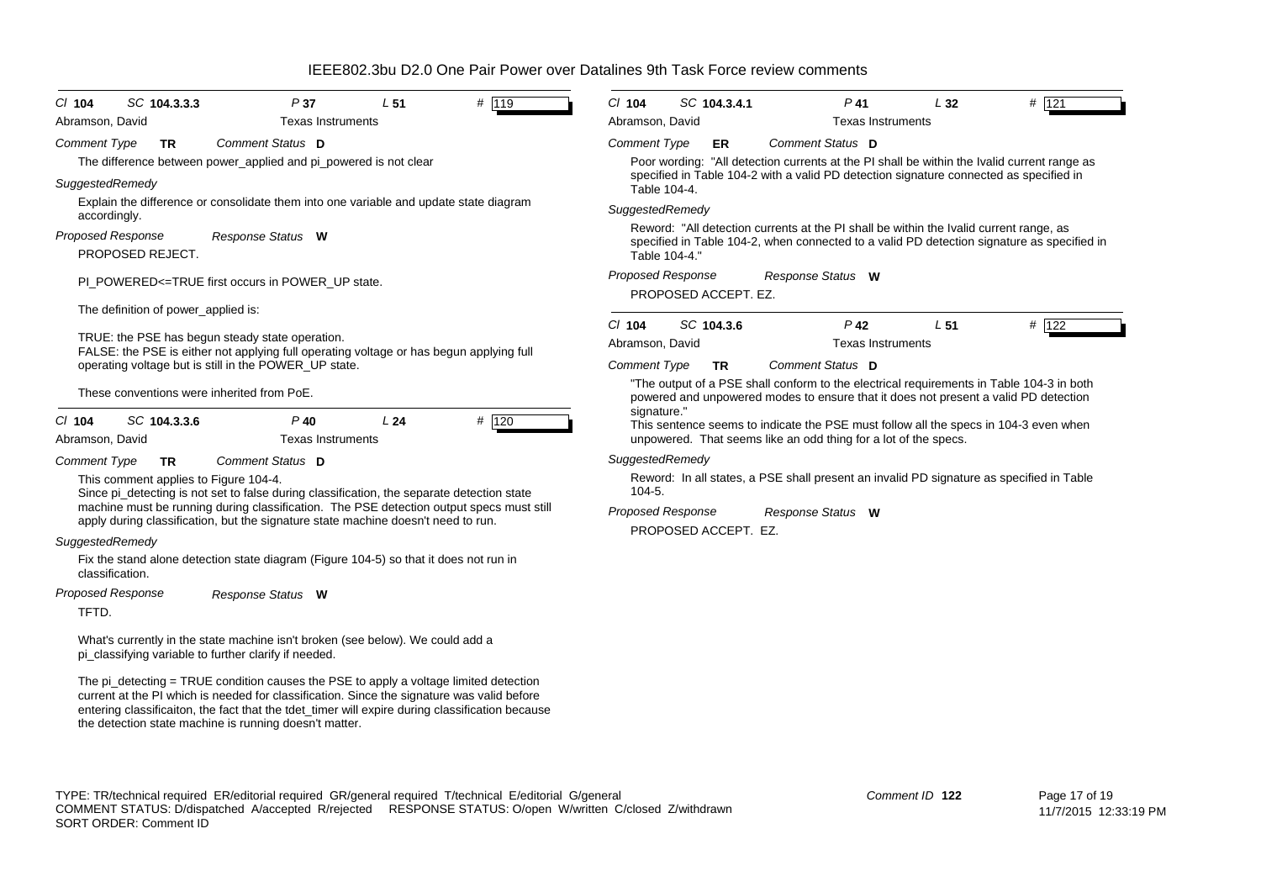| # $119$<br>SC 104.3.3.3<br>P37<br>L <sub>51</sub><br>$CI$ 104                                                                                                                                                                                                                                                                                    | # 121<br>$Cl$ 104<br>SC 104.3.4.1<br>$P$ 41<br>L32                                                          |
|--------------------------------------------------------------------------------------------------------------------------------------------------------------------------------------------------------------------------------------------------------------------------------------------------------------------------------------------------|-------------------------------------------------------------------------------------------------------------|
| Abramson, David<br><b>Texas Instruments</b>                                                                                                                                                                                                                                                                                                      | Abramson, David<br><b>Texas Instruments</b>                                                                 |
| Comment Status D<br><b>Comment Type</b><br><b>TR</b>                                                                                                                                                                                                                                                                                             | Comment Status D<br><b>Comment Type</b><br><b>ER</b>                                                        |
| The difference between power_applied and pi_powered is not clear                                                                                                                                                                                                                                                                                 | Poor wording: "All detection currents at the PI shall be within the Ivalid current range as                 |
| SuggestedRemedy                                                                                                                                                                                                                                                                                                                                  | specified in Table 104-2 with a valid PD detection signature connected as specified in<br>Table 104-4.      |
| Explain the difference or consolidate them into one variable and update state diagram<br>accordingly.                                                                                                                                                                                                                                            | SuggestedRemedy                                                                                             |
| Proposed Response<br>Response Status W                                                                                                                                                                                                                                                                                                           | Reword: "All detection currents at the PI shall be within the Ivalid current range, as                      |
| PROPOSED REJECT.                                                                                                                                                                                                                                                                                                                                 | specified in Table 104-2, when connected to a valid PD detection signature as specified in<br>Table 104-4." |
| PI POWERED<=TRUE first occurs in POWER UP state.                                                                                                                                                                                                                                                                                                 | <b>Proposed Response</b><br>Response Status W                                                               |
|                                                                                                                                                                                                                                                                                                                                                  | PROPOSED ACCEPT. EZ.                                                                                        |
| The definition of power_applied is:                                                                                                                                                                                                                                                                                                              | SC 104.3.6<br>$P$ 42<br>L51<br># 122<br>$CI$ 104                                                            |
| TRUE: the PSE has begun steady state operation.                                                                                                                                                                                                                                                                                                  | <b>Texas Instruments</b><br>Abramson, David                                                                 |
| FALSE: the PSE is either not applying full operating voltage or has begun applying full<br>operating voltage but is still in the POWER_UP state.                                                                                                                                                                                                 | Comment Status D<br><b>Comment Type</b><br><b>TR</b>                                                        |
|                                                                                                                                                                                                                                                                                                                                                  | "The output of a PSE shall conform to the electrical requirements in Table 104-3 in both                    |
| These conventions were inherited from PoE.                                                                                                                                                                                                                                                                                                       | powered and unpowered modes to ensure that it does not present a valid PD detection<br>signature."          |
| SC 104.3.3.6<br>$P$ 40<br>L24<br># 120<br>$Cl$ 104                                                                                                                                                                                                                                                                                               | This sentence seems to indicate the PSE must follow all the specs in 104-3 even when                        |
| Abramson, David<br><b>Texas Instruments</b>                                                                                                                                                                                                                                                                                                      | unpowered. That seems like an odd thing for a lot of the specs.                                             |
| Comment Status D<br><b>Comment Type</b><br><b>TR</b>                                                                                                                                                                                                                                                                                             | SuggestedRemedy                                                                                             |
| This comment applies to Figure 104-4.<br>Since pi_detecting is not set to false during classification, the separate detection state                                                                                                                                                                                                              | Reword: In all states, a PSE shall present an invalid PD signature as specified in Table<br>$104 - 5.$      |
| machine must be running during classification. The PSE detection output specs must still                                                                                                                                                                                                                                                         | <b>Proposed Response</b><br>Response Status W                                                               |
| apply during classification, but the signature state machine doesn't need to run.                                                                                                                                                                                                                                                                | PROPOSED ACCEPT. EZ.                                                                                        |
| SuggestedRemedy                                                                                                                                                                                                                                                                                                                                  |                                                                                                             |
| Fix the stand alone detection state diagram (Figure 104-5) so that it does not run in<br>classification.                                                                                                                                                                                                                                         |                                                                                                             |
| Proposed Response<br>Response Status W                                                                                                                                                                                                                                                                                                           |                                                                                                             |
| TFTD.                                                                                                                                                                                                                                                                                                                                            |                                                                                                             |
| What's currently in the state machine isn't broken (see below). We could add a<br>pi classifying variable to further clarify if needed.                                                                                                                                                                                                          |                                                                                                             |
| The pi_detecting = TRUE condition causes the PSE to apply a voltage limited detection<br>current at the PI which is needed for classification. Since the signature was valid before<br>entering classificaiton, the fact that the tdet_timer will expire during classification because<br>the detection state machine is running doesn't matter. |                                                                                                             |
|                                                                                                                                                                                                                                                                                                                                                  |                                                                                                             |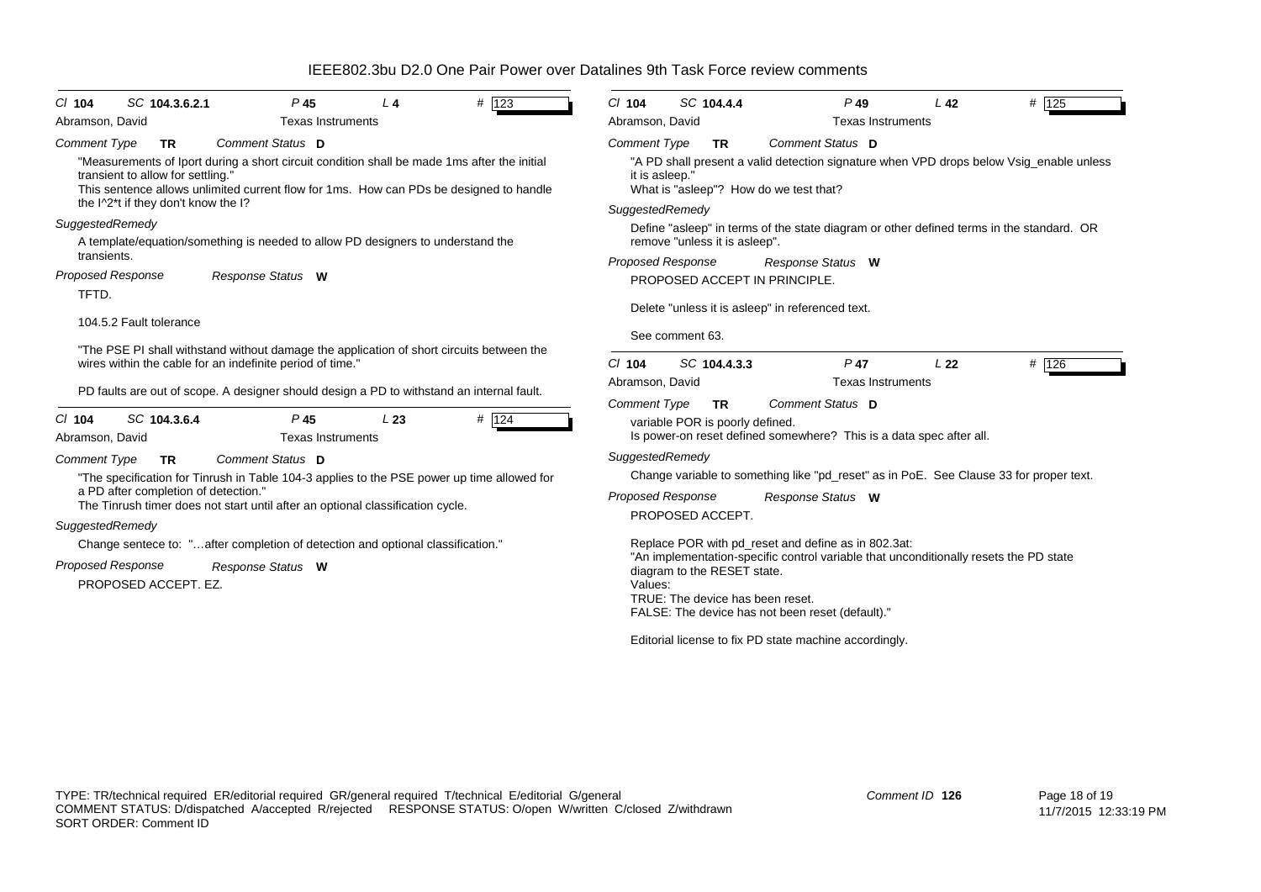| # 123<br>SC 104.3.6.2.1<br>P <sub>45</sub><br>$CI$ 104<br>L4<br><b>Texas Instruments</b><br>Abramson, David                                                                                                                                                                                                        | SC 104.4.4<br>$Cl$ 104<br>$P$ 49<br># 125<br>L <sub>42</sub><br><b>Texas Instruments</b>                                                                                                                                |  |  |  |  |  |
|--------------------------------------------------------------------------------------------------------------------------------------------------------------------------------------------------------------------------------------------------------------------------------------------------------------------|-------------------------------------------------------------------------------------------------------------------------------------------------------------------------------------------------------------------------|--|--|--|--|--|
|                                                                                                                                                                                                                                                                                                                    | Abramson, David                                                                                                                                                                                                         |  |  |  |  |  |
| Comment Status D<br>Comment Type<br><b>TR</b><br>"Measurements of Iport during a short circuit condition shall be made 1ms after the initial<br>transient to allow for settling."<br>This sentence allows unlimited current flow for 1ms. How can PDs be designed to handle<br>the I^2*t if they don't know the I? | <b>Comment Type</b><br>Comment Status D<br><b>TR</b><br>"A PD shall present a valid detection signature when VPD drops below Vsig_enable unless<br>it is asleep."<br>What is "asleep"? How do we test that?             |  |  |  |  |  |
|                                                                                                                                                                                                                                                                                                                    | SuggestedRemedy                                                                                                                                                                                                         |  |  |  |  |  |
| SuggestedRemedy<br>A template/equation/something is needed to allow PD designers to understand the                                                                                                                                                                                                                 | Define "asleep" in terms of the state diagram or other defined terms in the standard. OR<br>remove "unless it is asleep".                                                                                               |  |  |  |  |  |
| transients.                                                                                                                                                                                                                                                                                                        | <b>Proposed Response</b><br>Response Status W                                                                                                                                                                           |  |  |  |  |  |
| <b>Proposed Response</b><br>Response Status W                                                                                                                                                                                                                                                                      | PROPOSED ACCEPT IN PRINCIPLE.                                                                                                                                                                                           |  |  |  |  |  |
| TFTD.<br>104.5.2 Fault tolerance                                                                                                                                                                                                                                                                                   | Delete "unless it is asleep" in referenced text.<br>See comment 63.                                                                                                                                                     |  |  |  |  |  |
| "The PSE PI shall withstand without damage the application of short circuits between the<br>wires within the cable for an indefinite period of time."                                                                                                                                                              | # 126<br>$Cl$ 104<br>SC 104.4.3.3<br>$P$ 47<br>L22<br>Abramson, David<br><b>Texas Instruments</b>                                                                                                                       |  |  |  |  |  |
| PD faults are out of scope. A designer should design a PD to withstand an internal fault.<br># 124<br>SC 104.3.6.4<br>P <sub>45</sub><br>L23<br>$CI$ 104<br><b>Texas Instruments</b><br>Abramson, David                                                                                                            | <b>Comment Type</b><br>Comment Status D<br><b>TR</b><br>variable POR is poorly defined.<br>Is power-on reset defined somewhere? This is a data spec after all.                                                          |  |  |  |  |  |
| Comment Status D<br><b>Comment Type</b><br><b>TR</b>                                                                                                                                                                                                                                                               | SuggestedRemedy                                                                                                                                                                                                         |  |  |  |  |  |
| "The specification for Tinrush in Table 104-3 applies to the PSE power up time allowed for                                                                                                                                                                                                                         | Change variable to something like "pd_reset" as in PoE. See Clause 33 for proper text.                                                                                                                                  |  |  |  |  |  |
| a PD after completion of detection."<br>The Tinrush timer does not start until after an optional classification cycle.<br>SuggestedRemedy                                                                                                                                                                          | <b>Proposed Response</b><br>Response Status W<br>PROPOSED ACCEPT.                                                                                                                                                       |  |  |  |  |  |
| Change sentece to: "after completion of detection and optional classification."                                                                                                                                                                                                                                    | Replace POR with pd_reset and define as in 802.3at:                                                                                                                                                                     |  |  |  |  |  |
| <b>Proposed Response</b><br>Response Status W<br>PROPOSED ACCEPT. EZ.                                                                                                                                                                                                                                              | "An implementation-specific control variable that unconditionally resets the PD state<br>diagram to the RESET state.<br>Values:<br>TRUE: The device has been reset.<br>FALSE: The device has not been reset (default)." |  |  |  |  |  |
|                                                                                                                                                                                                                                                                                                                    | Editorial license to fix PD state machine accordingly.                                                                                                                                                                  |  |  |  |  |  |
|                                                                                                                                                                                                                                                                                                                    |                                                                                                                                                                                                                         |  |  |  |  |  |